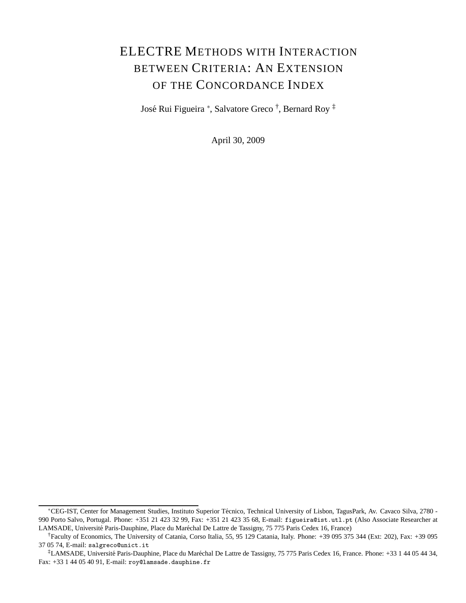# ELECTRE METHODS WITH INTERACTION BETWEEN CRITERIA: AN EXTENSION OF THE CONCORDANCE INDEX

José Rui Figueira \*, Salvatore Greco <sup>†</sup>, Bernard Roy <sup>‡</sup>

April 30, 2009

<sup>∗</sup>CEG-IST, Center for Management Studies, Instituto Superior T´ecnico, Technical University of Lisbon, TagusPark, Av. Cavaco Silva, 2780 - 990 Porto Salvo, Portugal. Phone: +351 21 423 32 99, Fax: +351 21 423 35 68, E-mail: figueira@ist.utl.pt (Also Associate Researcher at LAMSADE, Université Paris-Dauphine, Place du Maréchal De Lattre de Tassigny, 75 775 Paris Cedex 16, France)

<sup>†</sup>Faculty of Economics, The University of Catania, Corso Italia, 55, 95 129 Catania, Italy. Phone: +39 095 375 344 (Ext: 202), Fax: +39 095 37 05 74, E-mail: salgreco@unict.it

<sup>&</sup>lt;sup>‡</sup>LAMSADE, Université Paris-Dauphine, Place du Maréchal De Lattre de Tassigny, 75 775 Paris Cedex 16, France. Phone: +33 1 44 05 44 34, Fax: +33 1 44 05 40 91, E-mail: roy@lamsade.dauphine.fr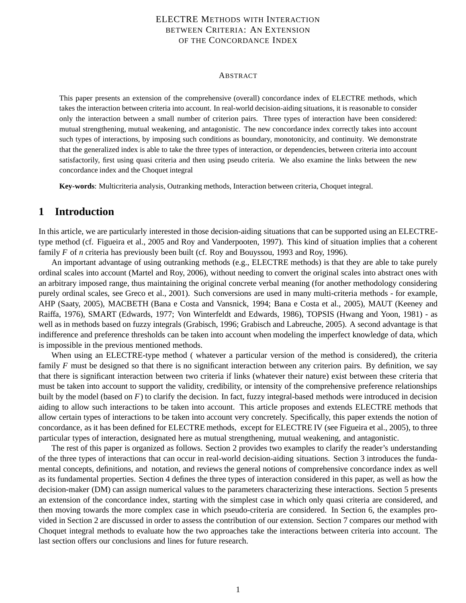### ELECTRE METHODS WITH INTERACTION BETWEEN CRITERIA: AN EXTENSION OF THE CONCORDANCE INDEX

#### ABSTRACT

This paper presents an extension of the comprehensive (overall) concordance index of ELECTRE methods, which takes the interaction between criteria into account. In real-world decision-aiding situations, it is reasonable to consider only the interaction between a small number of criterion pairs. Three types of interaction have been considered: mutual strengthening, mutual weakening, and antagonistic. The new concordance index correctly takes into account such types of interactions, by imposing such conditions as boundary, monotonicity, and continuity. We demonstrate that the generalized index is able to take the three types of interaction, or dependencies, between criteria into account satisfactorily, first using quasi criteria and then using pseudo criteria. We also examine the links between the new concordance index and the Choquet integral

**Key-words**: Multicriteria analysis, Outranking methods, Interaction between criteria, Choquet integral.

### **1 Introduction**

In this article, we are particularly interested in those decision-aiding situations that can be supported using an ELECTREtype method (cf. Figueira et al., 2005 and Roy and Vanderpooten, 1997). This kind of situation implies that a coherent family *F* of *n* criteria has previously been built (cf. Roy and Bouyssou, 1993 and Roy, 1996).

An important advantage of using outranking methods (e.g., ELECTRE methods) is that they are able to take purely ordinal scales into account (Martel and Roy, 2006), without needing to convert the original scales into abstract ones with an arbitrary imposed range, thus maintaining the original concrete verbal meaning (for another methodology considering purely ordinal scales, see Greco et al., 2001). Such conversions are used in many multi-criteria methods - for example, AHP (Saaty, 2005), MACBETH (Bana e Costa and Vansnick, 1994; Bana e Costa et al., 2005), MAUT (Keeney and Raiffa, 1976), SMART (Edwards, 1977; Von Winterfeldt and Edwards, 1986), TOPSIS (Hwang and Yoon, 1981) - as well as in methods based on fuzzy integrals (Grabisch, 1996; Grabisch and Labreuche, 2005). A second advantage is that indifference and preference thresholds can be taken into account when modeling the imperfect knowledge of data, which is impossible in the previous mentioned methods.

When using an ELECTRE-type method ( whatever a particular version of the method is considered), the criteria family *F* must be designed so that there is no significant interaction between any criterion pairs. By definition, we say that there is significant interaction between two criteria if links (whatever their nature) exist between these criteria that must be taken into account to support the validity, credibility, or intensity of the comprehensive preference relationships built by the model (based on *F*) to clarify the decision. In fact, fuzzy integral-based methods were introduced in decision aiding to allow such interactions to be taken into account. This article proposes and extends ELECTRE methods that allow certain types of interactions to be taken into account very concretely. Specifically, this paper extends the notion of concordance, as it has been defined for ELECTRE methods, except for ELECTRE IV (see Figueira et al., 2005), to three particular types of interaction, designated here as mutual strengthening, mutual weakening, and antagonistic.

The rest of this paper is organized as follows. Section 2 provides two examples to clarify the reader's understanding of the three types of interactions that can occur in real-world decision-aiding situations. Section 3 introduces the fundamental concepts, definitions, and notation, and reviews the general notions of comprehensive concordance index as well as its fundamental properties. Section 4 defines the three types of interaction considered in this paper, as well as how the decision-maker (DM) can assign numerical values to the parameters characterizing these interactions. Section 5 presents an extension of the concordance index, starting with the simplest case in which only quasi criteria are considered, and then moving towards the more complex case in which pseudo-criteria are considered. In Section 6, the examples provided in Section 2 are discussed in order to assess the contribution of our extension. Section 7 compares our method with Choquet integral methods to evaluate how the two approaches take the interactions between criteria into account. The last section offers our conclusions and lines for future research.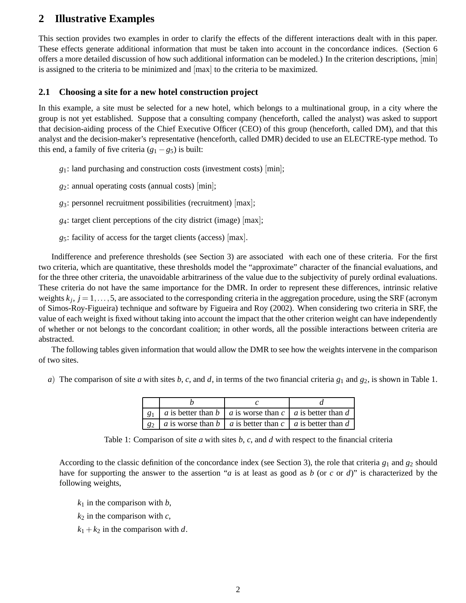# **2 Illustrative Examples**

This section provides two examples in order to clarify the effects of the different interactions dealt with in this paper. These effects generate additional information that must be taken into account in the concordance indices. (Section 6 offers a more detailed discussion of how such additional information can be modeled.) In the criterion descriptions, [min] is assigned to the criteria to be minimized and [max] to the criteria to be maximized.

### **2.1 Choosing a site for a new hotel construction project**

In this example, a site must be selected for a new hotel, which belongs to a multinational group, in a city where the group is not yet established. Suppose that a consulting company (henceforth, called the analyst) was asked to support that decision-aiding process of the Chief Executive Officer (CEO) of this group (henceforth, called DM), and that this analyst and the decision-maker's representative (henceforth, called DMR) decided to use an ELECTRE-type method. To this end, a family of five criteria  $(g_1 - g_5)$  is built:

*g*1: land purchasing and construction costs (investment costs) [min];

*g*2: annual operating costs (annual costs) [min];

*g*3: personnel recruitment possibilities (recruitment) [max];

*g*4: target client perceptions of the city district (image) [max];

*g*5: facility of access for the target clients (access) [max].

Indifference and preference thresholds (see Section 3) are associated with each one of these criteria. For the first two criteria, which are quantitative, these thresholds model the "approximate" character of the financial evaluations, and for the three other criteria, the unavoidable arbitrariness of the value due to the subjectivity of purely ordinal evaluations. These criteria do not have the same importance for the DMR. In order to represent these differences, intrinsic relative weights  $k_j$ ,  $j = 1, \ldots, 5$ , are associated to the corresponding criteria in the aggregation procedure, using the SRF (acronym of Simos-Roy-Figueira) technique and software by Figueira and Roy (2002). When considering two criteria in SRF, the value of each weight is fixed without taking into account the impact that the other criterion weight can have independently of whether or not belongs to the concordant coalition; in other words, all the possible interactions between criteria are abstracted.

The following tables given information that would allow the DMR to see how the weights intervene in the comparison of two sites.

*a*) The comparison of site *a* with sites *b*, *c*, and *d*, in terms of the two financial criteria  $g_1$  and  $g_2$ , is shown in Table 1.

| $g_1$   a is better than b   a is worse than c   a is better than d |  |  |
|---------------------------------------------------------------------|--|--|
| $g_2$   a is worse than b   a is better than c   a is better than d |  |  |

Table 1: Comparison of site *a* with sites *b*, *c*, and *d* with respect to the financial criteria

According to the classic definition of the concordance index (see Section 3), the role that criteria *g*<sup>1</sup> and *g*<sup>2</sup> should have for supporting the answer to the assertion "*a* is at least as good as *b* (or *c* or *d*)" is characterized by the following weights,

 $k_1$  in the comparison with *b*,

 $k_2$  in the comparison with  $c$ ,

 $k_1 + k_2$  in the comparison with *d*.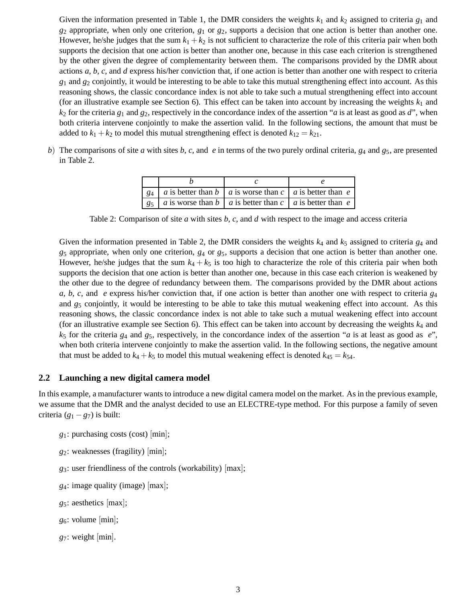Given the information presented in Table 1, the DMR considers the weights  $k_1$  and  $k_2$  assigned to criteria  $g_1$  and *g*<sup>2</sup> appropriate, when only one criterion, *g*<sup>1</sup> or *g*2, supports a decision that one action is better than another one. However, he/she judges that the sum  $k_1 + k_2$  is not sufficient to characterize the role of this criteria pair when both supports the decision that one action is better than another one, because in this case each criterion is strengthened by the other given the degree of complementarity between them. The comparisons provided by the DMR about actions *a*, *b*, *c*, and *d* express his/her conviction that, if one action is better than another one with respect to criteria  $g_1$  and  $g_2$  conjointly, it would be interesting to be able to take this mutual strengthening effect into account. As this reasoning shows, the classic concordance index is not able to take such a mutual strengthening effect into account (for an illustrative example see Section 6). This effect can be taken into account by increasing the weights  $k_1$  and  $k_2$  for the criteria  $g_1$  and  $g_2$ , respectively in the concordance index of the assertion "*a* is at least as good as *d*", when both criteria intervene conjointly to make the assertion valid. In the following sections, the amount that must be added to  $k_1 + k_2$  to model this mutual strengthening effect is denoted  $k_{12} = k_{21}$ .

*b*) The comparisons of site *a* with sites *b*, *c*, and *e* in terms of the two purely ordinal criteria, *g*<sup>4</sup> and *g*5, are presented in Table 2.

|  | $g_4$   a is better than b   a is worse than c   a is better than e |  |  |
|--|---------------------------------------------------------------------|--|--|
|  | $g_5$   a is worse than b   a is better than c   a is better than e |  |  |

Table 2: Comparison of site *a* with sites *b*, *c*, and *d* with respect to the image and access criteria

Given the information presented in Table 2, the DMR considers the weights  $k_4$  and  $k_5$  assigned to criteria  $g_4$  and *g*<sup>5</sup> appropriate, when only one criterion, *g*<sup>4</sup> or *g*5, supports a decision that one action is better than another one. However, he/she judges that the sum  $k_4 + k_5$  is too high to characterize the role of this criteria pair when both supports the decision that one action is better than another one, because in this case each criterion is weakened by the other due to the degree of redundancy between them. The comparisons provided by the DMR about actions *a*, *b*, *c*, and *e* express his/her conviction that, if one action is better than another one with respect to criteria *g*<sup>4</sup> and *g*<sup>5</sup> conjointly, it would be interesting to be able to take this mutual weakening effect into account. As this reasoning shows, the classic concordance index is not able to take such a mutual weakening effect into account (for an illustrative example see Section 6). This effect can be taken into account by decreasing the weights  $k<sub>4</sub>$  and *k*<sup>5</sup> for the criteria *g*<sup>4</sup> and *g*5, respectively, in the concordance index of the assertion "*a* is at least as good as *e*", when both criteria intervene conjointly to make the assertion valid. In the following sections, the negative amount that must be added to  $k_4 + k_5$  to model this mutual weakening effect is denoted  $k_{45} = k_{54}$ .

### **2.2 Launching a new digital camera model**

In this example, a manufacturer wants to introduce a new digital camera model on the market. As in the previous example, we assume that the DMR and the analyst decided to use an ELECTRE-type method. For this purpose a family of seven criteria  $(g_1 - g_7)$  is built:

- *g*1: purchasing costs (cost) [min];
- *g*2: weaknesses (fragility) [min];
- *g*3: user friendliness of the controls (workability) [max];
- *g*4: image quality (image) [max];
- *g*5: aesthetics [max];
- *g*6: volume [min];
- *g*7: weight [min].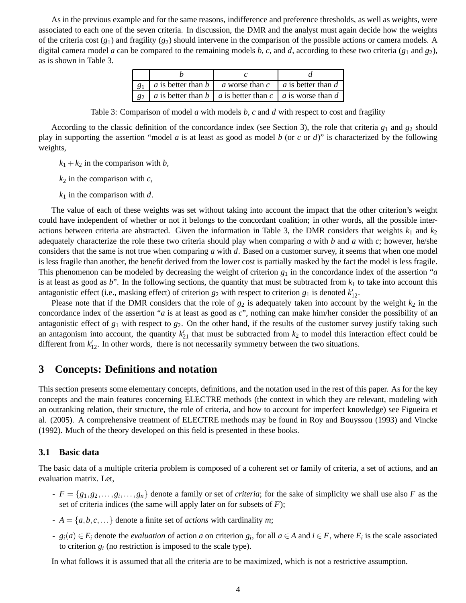As in the previous example and for the same reasons, indifference and preference thresholds, as well as weights, were associated to each one of the seven criteria. In discussion, the DMR and the analyst must again decide how the weights of the criteria cost  $(g_1)$  and fragility  $(g_2)$  should intervene in the comparison of the possible actions or camera models. A digital camera model *a* can be compared to the remaining models *b*, *c*, and *d*, according to these two criteria (*g*<sup>1</sup> and *g*2), as is shown in Table 3.

| $g_1$ | a is better than $b \parallel$                              | a worse than $c \mid a$ is better than d |  |  |
|-------|-------------------------------------------------------------|------------------------------------------|--|--|
| 82    | a is better than b   a is better than c   a is worse than d |                                          |  |  |

Table 3: Comparison of model *a* with models *b*, *c* and *d* with respect to cost and fragility

According to the classic definition of the concordance index (see Section 3), the role that criteria *g*<sup>1</sup> and *g*<sup>2</sup> should play in supporting the assertion "model *a* is at least as good as model *b* (or *c* or *d*)" is characterized by the following weights,

- $k_1 + k_2$  in the comparison with *b*,
- $k_2$  in the comparison with  $c$ ,
- *k*<sup>1</sup> in the comparison with *d*.

The value of each of these weights was set without taking into account the impact that the other criterion's weight could have independent of whether or not it belongs to the concordant coalition; in other words, all the possible interactions between criteria are abstracted. Given the information in Table 3, the DMR considers that weights  $k_1$  and  $k_2$ adequately characterize the role these two criteria should play when comparing *a* with *b* and *a* with *c*; however, he/she considers that the same is not true when comparing *a* with *d*. Based on a customer survey, it seems that when one model is less fragile than another, the benefit derived from the lower cost is partially masked by the fact the model is less fragile. This phenomenon can be modeled by decreasing the weight of criterion *g*<sup>1</sup> in the concordance index of the assertion "*a* is at least as good as  $b$ ". In the following sections, the quantity that must be subtracted from  $k_1$  to take into account this antagonistic effect (i.e., masking effect) of criterion  $g_2$  with respect to criterion  $g_1$  is denoted  $k'_{12}$ .

Please note that if the DMR considers that the role of  $g_2$  is adequately taken into account by the weight  $k_2$  in the concordance index of the assertion "*a* is at least as good as *c*", nothing can make him/her consider the possibility of an antagonistic effect of  $g_1$  with respect to  $g_2$ . On the other hand, if the results of the customer survey justify taking such an antagonism into account, the quantity  $k'_{21}$  that must be subtracted from  $k_2$  to model this interaction effect could be different from  $k'_{12}$ . In other words, there is not necessarily symmetry between the two situations.

### **3 Concepts: Definitions and notation**

This section presents some elementary concepts, definitions, and the notation used in the rest of this paper. As for the key concepts and the main features concerning ELECTRE methods (the context in which they are relevant, modeling with an outranking relation, their structure, the role of criteria, and how to account for imperfect knowledge) see Figueira et al. (2005). A comprehensive treatment of ELECTRE methods may be found in Roy and Bouyssou (1993) and Vincke (1992). Much of the theory developed on this field is presented in these books.

#### **3.1 Basic data**

The basic data of a multiple criteria problem is composed of a coherent set or family of criteria, a set of actions, and an evaluation matrix. Let,

- $F = \{g_1, g_2, \ldots, g_i, \ldots, g_n\}$  denote a family or set of *criteria*; for the sake of simplicity we shall use also *F* as the set of criteria indices (the same will apply later on for subsets of *F*);
- $A = \{a, b, c, \ldots\}$  denote a finite set of *actions* with cardinality *m*;
- $g_i(a) \in E_i$  denote the *evaluation* of action a on criterion  $g_i$ , for all  $a \in A$  and  $i \in F$ , where  $E_i$  is the scale associated to criterion  $g_i$  (no restriction is imposed to the scale type).

In what follows it is assumed that all the criteria are to be maximized, which is not a restrictive assumption.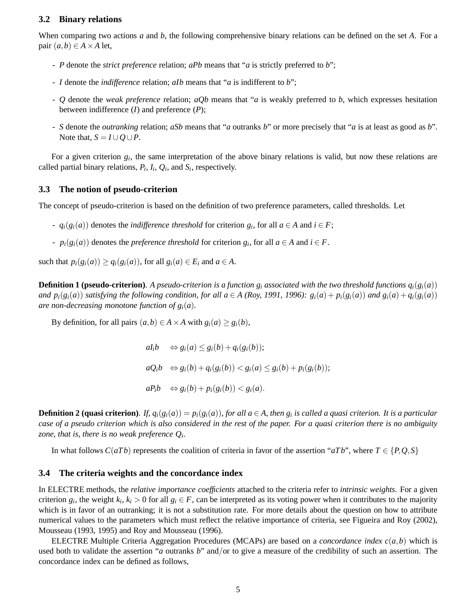#### **3.2 Binary relations**

When comparing two actions *a* and *b*, the following comprehensive binary relations can be defined on the set *A*. For a pair  $(a,b) \in A \times A$  let,

- *P* denote the *strict preference* relation; *aPb* means that "*a* is strictly preferred to *b*";
- *I* denote the *indifference* relation; *aIb* means that "*a* is indifferent to *b*";
- *Q* denote the *weak preference* relation; *aQb* means that "*a* is weakly preferred to *b*, which expresses hesitation between indifference (*I*) and preference (*P*);
- *S* denote the *outranking* relation; *aSb* means that "*a* outranks *b*" or more precisely that "*a* is at least as good as *b*". Note that,  $S = I \cup Q \cup P$ .

For a given criterion  $g_i$ , the same interpretation of the above binary relations is valid, but now these relations are called partial binary relations,  $P_i$ ,  $I_i$ ,  $Q_i$ , and  $S_i$ , respectively.

### **3.3 The notion of pseudo-criterion**

The concept of pseudo-criterion is based on the definition of two preference parameters, called thresholds. Let

- *→*  $q_i(g_i(a))$  denotes the *indifference threshold* for criterion  $g_i$ , for all  $a \in A$  and  $i \in F$ ;
- $p_i(g_i(a))$  denotes the *preference threshold* for criterion  $g_i$ , for all  $a \in A$  and  $i \in F$ .

such that  $p_i(g_i(a)) \geq q_i(g_i(a))$ , for all  $g_i(a) \in E_i$  and  $a \in A$ .

**Definition 1 (pseudo-criterion)**. A pseudo-criterion is a function  $g_i$  associated with the two threshold functions  $q_i(g_i(a))$ and  $p_i(g_i(a))$  satisfying the following condition, for all  $a \in A$  (Roy, 1991, 1996):  $g_i(a) + p_i(g_i(a))$  and  $g_i(a) + q_i(g_i(a))$ *are non-decreasing monotone function of*  $g_i(a)$ *.* 

By definition, for all pairs  $(a,b) \in A \times A$  with  $g_i(a) \geq g_i(b)$ ,

 $aI_i b \Leftrightarrow g_i(a) \leq g_i(b) + q_i(g_i(b));$  $aQ_i b \Leftrightarrow g_i(b) + q_i(g_i(b)) < g_i(a) \leq g_i(b) + p_i(g_i(b));$  $aP_i b \Leftrightarrow g_i(b) + p_i(g_i(b)) < g_i(a).$ 

**Definition 2 (quasi criterion)**. If,  $q_i(g_i(a)) = p_i(g_i(a))$ , for all  $a \in A$ , then  $g_i$  is called a quasi criterion. It is a particular *case of a pseudo criterion which is also considered in the rest of the paper. For a quasi criterion there is no ambiguity zone, that is, there is no weak preference Q<sup>i</sup> .*

In what follows  $C(aTb)$  represents the coalition of criteria in favor of the assertion " $aTb$ ", where  $T \in \{P, Q, S\}$ 

#### **3.4 The criteria weights and the concordance index**

In ELECTRE methods, the *relative importance coefficients* attached to the criteria refer to *intrinsic weights*. For a given criterion  $g_i$ , the weight  $k_i$ ,  $k_i > 0$  for all  $g_i \in F$ , can be interpreted as its voting power when it contributes to the majority which is in favor of an outranking; it is not a substitution rate. For more details about the question on how to attribute numerical values to the parameters which must reflect the relative importance of criteria, see Figueira and Roy (2002), Mousseau (1993, 1995) and Roy and Mousseau (1996).

ELECTRE Multiple Criteria Aggregation Procedures (MCAPs) are based on a *concordance index c*(*a*,*b*) which is used both to validate the assertion "*a* outranks *b*" and/or to give a measure of the credibility of such an assertion. The concordance index can be defined as follows,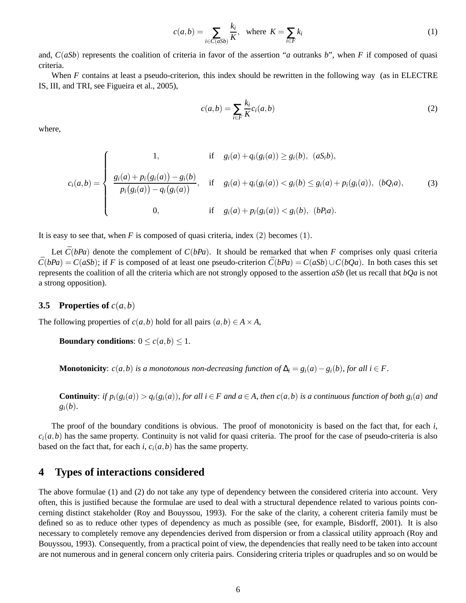$$
c(a,b) = \sum_{i \in C(aSb)} \frac{k_i}{K}, \quad \text{where } K = \sum_{i \in F} k_i \tag{1}
$$

and, *C*(*aSb*) represents the coalition of criteria in favor of the assertion "*a* outranks *b*", when *F* if composed of quasi criteria.

When *F* contains at least a pseudo-criterion, this index should be rewritten in the following way (as in ELECTRE IS, III, and TRI, see Figueira et al., 2005),

$$
c(a,b) = \sum_{i \in F} \frac{k_i}{K} c_i(a,b)
$$
 (2)

where,

$$
c_i(a,b) = \begin{cases} 1, & \text{if } g_i(a) + q_i(g_i(a)) \ge g_i(b), (aS_i b), \\ \frac{g_i(a) + p_i(g_i(a)) - g_i(b)}{p_i(g_i(a)) - q_i(g_i(a))}, & \text{if } g_i(a) + q_i(g_i(a)) < g_i(b) \le g_i(a) + p_i(g_i(a)), (bQ_i a), \\ 0, & \text{if } g_i(a) + p_i(g_i(a)) < g_i(b), (bP_i a). \end{cases} \tag{3}
$$

It is easy to see that, when  $F$  is composed of quasi criteria, index (2) becomes (1).

Let  $\bar{C}(bPa)$  denote the complement of  $C(bPa)$ . It should be remarked that when *F* comprises only quasi criteria  $\bar{C}(bPa) = C(aSb)$ ; if *F* is composed of at least one pseudo-criterion  $\bar{C}(bPa) = C(aSb) \cup C(bQa)$ . In both cases this set represents the coalition of all the criteria which are not strongly opposed to the assertion *aSb* (let us recall that *bQa* is not a strong opposition).

#### **3.5 Properties of**  $c(a,b)$

The following properties of  $c(a,b)$  hold for all pairs  $(a,b) \in A \times A$ ,

**Boundary conditions:**  $0 \le c(a,b) \le 1$ .

**Monotonicity**: *c*(*a*,*b*) *is a monotonous non-decreasing function of*  $\Delta_i = g_i(a) - g_i(b)$ *, for all i* ∈ *F*.

**Continuity**: if  $p_i(g_i(a)) > q_i(g_i(a))$ , for all  $i \in F$  and  $a \in A$ , then  $c(a, b)$  is a continuous function of both  $g_i(a)$  and  $g_i(b)$ .

The proof of the boundary conditions is obvious. The proof of monotonicity is based on the fact that, for each *i*,  $c_i(a,b)$  has the same property. Continuity is not valid for quasi criteria. The proof for the case of pseudo-criteria is also based on the fact that, for each *i*,  $c_i(a,b)$  has the same property.

### **4 Types of interactions considered**

The above formulae (1) and (2) do not take any type of dependency between the considered criteria into account. Very often, this is justified because the formulae are used to deal with a structural dependence related to various points concerning distinct stakeholder (Roy and Bouyssou, 1993). For the sake of the clarity, a coherent criteria family must be defined so as to reduce other types of dependency as much as possible (see, for example, Bisdorff, 2001). It is also necessary to completely remove any dependencies derived from dispersion or from a classical utility approach (Roy and Bouyssou, 1993). Consequently, from a practical point of view, the dependencies that really need to be taken into account are not numerous and in general concern only criteria pairs. Considering criteria triples or quadruples and so on would be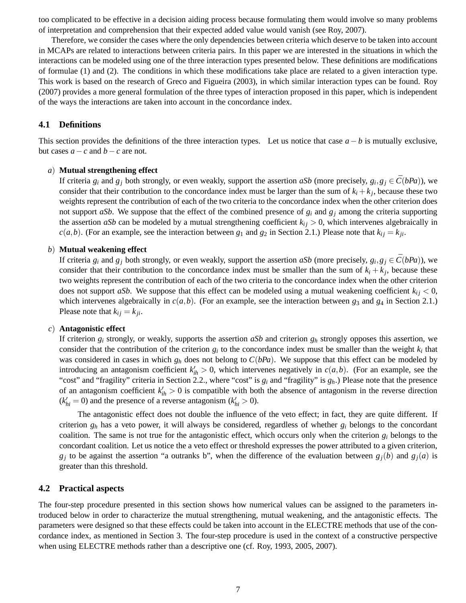too complicated to be effective in a decision aiding process because formulating them would involve so many problems of interpretation and comprehension that their expected added value would vanish (see Roy, 2007).

Therefore, we consider the cases where the only dependencies between criteria which deserve to be taken into account in MCAPs are related to interactions between criteria pairs. In this paper we are interested in the situations in which the interactions can be modeled using one of the three interaction types presented below. These definitions are modifications of formulae (1) and (2). The conditions in which these modifications take place are related to a given interaction type. This work is based on the research of Greco and Figueira (2003), in which similar interaction types can be found. Roy (2007) provides a more general formulation of the three types of interaction proposed in this paper, which is independent of the ways the interactions are taken into account in the concordance index.

#### **4.1 Definitions**

This section provides the definitions of the three interaction types. Let us notice that case  $a - b$  is mutually exclusive, but cases  $a - c$  and  $b - c$  are not.

#### *a*) **Mutual strengthening effect**

If criteria  $g_i$  and  $g_j$  both strongly, or even weakly, support the assertion *aSb* (more precisely,  $g_i$ ,  $g_j \in \overline{C}(bPa)$ ), we consider that their contribution to the concordance index must be larger than the sum of  $k_i + k_j$ , because these two weights represent the contribution of each of the two criteria to the concordance index when the other criterion does not support *aSb*. We suppose that the effect of the combined presence of  $g_i$  and  $g_j$  among the criteria supporting the assertion *aSb* can be modeled by a mutual strengthening coefficient  $k_{ij} > 0$ , which intervenes algebraically in *c*(*a*,*b*). (For an example, see the interaction between  $g_1$  and  $g_2$  in Section 2.1.) Please note that  $k_{ij} = k_{ji}$ .

#### *b*) **Mutual weakening effect**

If criteria  $g_i$  and  $g_j$  both strongly, or even weakly, support the assertion *aSb* (more precisely,  $g_i$ ,  $g_j \in \overline{C}(bPa)$ ), we consider that their contribution to the concordance index must be smaller than the sum of  $k_i + k_j$ , because these two weights represent the contribution of each of the two criteria to the concordance index when the other criterion does not support *aSb*. We suppose that this effect can be modeled using a mutual weakening coefficient  $k_{ij}$   $<$  0, which intervenes algebraically in  $c(a, b)$ . (For an example, see the interaction between  $g_3$  and  $g_4$  in Section 2.1.) Please note that  $k_{ij} = k_{ji}$ .

#### *c*) **Antagonistic effect**

If criterion *g<sup>i</sup>* strongly, or weakly, supports the assertion *aSb* and criterion *g<sup>h</sup>* strongly opposes this assertion, we consider that the contribution of the criterion  $g_i$  to the concordance index must be smaller than the weight  $k_i$  that was considered in cases in which  $g_h$  does not belong to  $C(bPa)$ . We suppose that this effect can be modeled by introducing an antagonism coefficient  $k'_{ih} > 0$ , which intervenes negatively in  $c(a,b)$ . (For an example, see the "cost" and "fragility" criteria in Section 2.2., where "cost" is  $g_i$  and "fragility" is  $g_h$ .) Please note that the presence of an antagonism coefficient  $k'_{ih} > 0$  is compatible with both the absence of antagonism in the reverse direction  $(k'_{hi} = 0)$  and the presence of a reverse antagonism  $(k'_{hi} > 0)$ .

The antagonistic effect does not double the influence of the veto effect; in fact, they are quite different. If criterion  $g_h$  has a veto power, it will always be considered, regardless of whether  $g_i$  belongs to the concordant coalition. The same is not true for the antagonistic effect, which occurs only when the criterion *g<sup>i</sup>* belongs to the concordant coalition. Let us notice the a veto effect or threshold expresses the power attributed to a given criterion,  $g_j$  to be against the assertion "a outranks b", when the difference of the evaluation between  $g_j(b)$  and  $g_j(a)$  is greater than this threshold.

#### **4.2 Practical aspects**

The four-step procedure presented in this section shows how numerical values can be assigned to the parameters introduced below in order to characterize the mutual strengthening, mutual weakening, and the antagonistic effects. The parameters were designed so that these effects could be taken into account in the ELECTRE methods that use of the concordance index, as mentioned in Section 3. The four-step procedure is used in the context of a constructive perspective when using ELECTRE methods rather than a descriptive one (cf. Roy, 1993, 2005, 2007).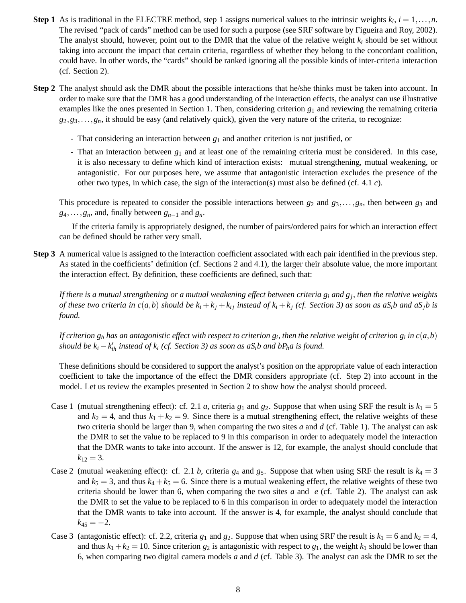- **Step 1** As is traditional in the ELECTRE method, step 1 assigns numerical values to the intrinsic weights  $k_i$ ,  $i = 1, \ldots, n$ . The revised "pack of cards" method can be used for such a purpose (see SRF software by Figueira and Roy, 2002). The analyst should, however, point out to the DMR that the value of the relative weight *k<sup>i</sup>* should be set without taking into account the impact that certain criteria, regardless of whether they belong to the concordant coalition, could have. In other words, the "cards" should be ranked ignoring all the possible kinds of inter-criteria interaction (cf. Section 2).
- **Step 2** The analyst should ask the DMR about the possible interactions that he/she thinks must be taken into account. In order to make sure that the DMR has a good understanding of the interaction effects, the analyst can use illustrative examples like the ones presented in Section 1. Then, considering criterion  $g_1$  and reviewing the remaining criteria  $g_2, g_3, \ldots, g_n$ , it should be easy (and relatively quick), given the very nature of the criteria, to recognize:
	- That considering an interaction between *g*<sup>1</sup> and another criterion is not justified, or
	- That an interaction between *g*<sup>1</sup> and at least one of the remaining criteria must be considered. In this case, it is also necessary to define which kind of interaction exists: mutual strengthening, mutual weakening, or antagonistic. For our purposes here, we assume that antagonistic interaction excludes the presence of the other two types, in which case, the sign of the interaction(s) must also be defined (cf. 4.1 *c*).

This procedure is repeated to consider the possible interactions between  $g_2$  and  $g_3, \ldots, g_n$ , then between  $g_3$  and  $g_4, \ldots, g_n$ , and, finally between  $g_{n-1}$  and  $g_n$ .

If the criteria family is appropriately designed, the number of pairs/ordered pairs for which an interaction effect can be defined should be rather very small.

**Step 3** A numerical value is assigned to the interaction coefficient associated with each pair identified in the previous step. As stated in the coefficients' definition (cf. Sections 2 and 4.1), the larger their absolute value, the more important the interaction effect. By definition, these coefficients are defined, such that:

*If there is a mutual strengthening or a mutual weakening effect between criteria g<sup>i</sup> and g<sup>j</sup> , then the relative weights* of these two criteria in  $c(a,b)$  should be  $k_i + k_j + k_{ij}$  instead of  $k_i + k_j$  (cf. Section 3) as soon as aS<sub>i</sub>b and aS<sub>i</sub>b is *found.*

If criterion  $g_h$  has an antagonistic effect with respect to criterion  $g_i$ , then the relative weight of criterion  $g_i$  in  $c(a,b)$ *should be*  $k_i - k'_{ih}$  *instead of*  $k_i$  (*cf. Section 3*) *as soon as aS<sub>i</sub>b and bP<sub>h</sub>a is found.* 

These definitions should be considered to support the analyst's position on the appropriate value of each interaction coefficient to take the importance of the effect the DMR considers appropriate (cf. Step 2) into account in the model. Let us review the examples presented in Section 2 to show how the analyst should proceed.

- Case 1 (mutual strengthening effect): cf. 2.1 *a*, criteria  $g_1$  and  $g_2$ . Suppose that when using SRF the result is  $k_1 = 5$ and  $k_2 = 4$ , and thus  $k_1 + k_2 = 9$ . Since there is a mutual strengthening effect, the relative weights of these two criteria should be larger than 9, when comparing the two sites *a* and *d* (cf. Table 1). The analyst can ask the DMR to set the value to be replaced to 9 in this comparison in order to adequately model the interaction that the DMR wants to take into account. If the answer is 12, for example, the analyst should conclude that  $k_{12} = 3.$
- Case 2 (mutual weakening effect): cf. 2.1 *b*, criteria  $g_4$  and  $g_5$ . Suppose that when using SRF the result is  $k_4 = 3$ and  $k_5 = 3$ , and thus  $k_4 + k_5 = 6$ . Since there is a mutual weakening effect, the relative weights of these two criteria should be lower than 6, when comparing the two sites *a* and *e* (cf. Table 2). The analyst can ask the DMR to set the value to be replaced to 6 in this comparison in order to adequately model the interaction that the DMR wants to take into account. If the answer is 4, for example, the analyst should conclude that  $k_{45} = -2.$
- Case 3 (antagonistic effect): cf. 2.2, criteria  $g_1$  and  $g_2$ . Suppose that when using SRF the result is  $k_1 = 6$  and  $k_2 = 4$ , and thus  $k_1 + k_2 = 10$ . Since criterion  $g_2$  is antagonistic with respect to  $g_1$ , the weight  $k_1$  should be lower than 6, when comparing two digital camera models *a* and *d* (cf. Table 3). The analyst can ask the DMR to set the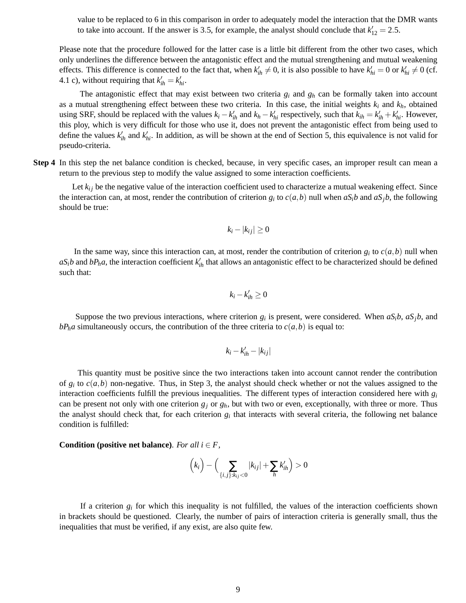value to be replaced to 6 in this comparison in order to adequately model the interaction that the DMR wants to take into account. If the answer is 3.5, for example, the analyst should conclude that  $k'_{12} = 2.5$ .

Please note that the procedure followed for the latter case is a little bit different from the other two cases, which only underlines the difference between the antagonistic effect and the mutual strengthening and mutual weakening effects. This difference is connected to the fact that, when  $k'_{ih} \neq 0$ , it is also possible to have  $k'_{hi} = 0$  or  $k'_{hi} \neq 0$  (cf. 4.1 c), without requiring that  $k'_{ih} = k'_{hi}$ .

The antagonistic effect that may exist between two criteria *g<sup>i</sup>* and *g<sup>h</sup>* can be formally taken into account as a mutual strengthening effect between these two criteria. In this case, the initial weights *k<sup>i</sup>* and *kh*, obtained using SRF, should be replaced with the values  $k_i - k'_{ih}$  and  $k_h - k'_{hi}$  respectively, such that  $k_{ih} = k'_{ih} + k'_{hi}$ . However, this ploy, which is very difficult for those who use it, does not prevent the antagonistic effect from being used to define the values  $k'_{ih}$  and  $k'_{hi}$ . In addition, as will be shown at the end of Section 5, this equivalence is not valid for pseudo-criteria.

**Step 4** In this step the net balance condition is checked, because, in very specific cases, an improper result can mean a return to the previous step to modify the value assigned to some interaction coefficients.

Let  $k_{ij}$  be the negative value of the interaction coefficient used to characterize a mutual weakening effect. Since the interaction can, at most, render the contribution of criterion  $g_i$  to  $c(a,b)$  null when  $aS_ib$  and  $aS_jb$ , the following should be true:

$$
k_i - |k_{ij}| \ge 0
$$

In the same way, since this interaction can, at most, render the contribution of criterion  $g_i$  to  $c(a,b)$  null when  $aS_i b$  and  $bP_h a$ , the interaction coefficient  $k'_{ih}$  that allows an antagonistic effect to be characterized should be defined such that:

$$
k_i - k'_{ih} \geq 0
$$

Suppose the two previous interactions, where criterion  $g_i$  is present, were considered. When  $aS_i b$ ,  $aS_j b$ , and  $bP_h a$  simultaneously occurs, the contribution of the three criteria to  $c(a,b)$  is equal to:

$$
k_i - k_{ih}' - |k_{ij}|
$$

This quantity must be positive since the two interactions taken into account cannot render the contribution of  $g_i$  to  $c(a,b)$  non-negative. Thus, in Step 3, the analyst should check whether or not the values assigned to the interaction coefficients fulfill the previous inequalities. The different types of interaction considered here with  $g_i$ can be present not only with one criterion  $g_j$  or  $g_h$ , but with two or even, exceptionally, with three or more. Thus the analyst should check that, for each criterion  $g_i$  that interacts with several criteria, the following net balance condition is fulfilled:

**Condition (positive net balance)**. *For all i*  $\in$  *F*,

$$
\left(k_i\right)-\left(\sum_{\{i,j\}:k_{ij}<0}|k_{ij}|+\sum_hk'_{ih}\right)>0
$$

If a criterion  $g_i$  for which this inequality is not fulfilled, the values of the interaction coefficients shown in brackets should be questioned. Clearly, the number of pairs of interaction criteria is generally small, thus the inequalities that must be verified, if any exist, are also quite few.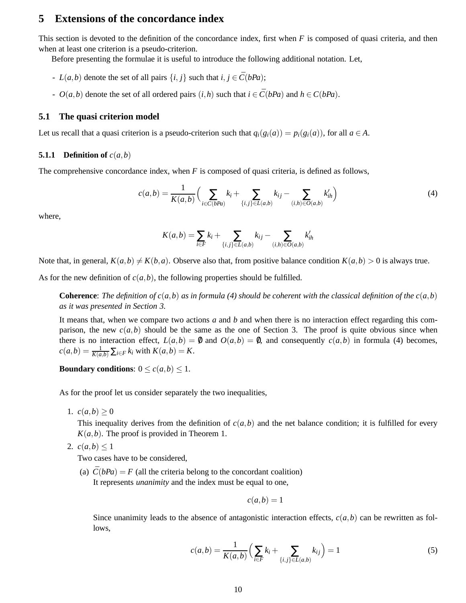# **5 Extensions of the concordance index**

This section is devoted to the definition of the concordance index, first when *F* is composed of quasi criteria, and then when at least one criterion is a pseudo-criterion.

Before presenting the formulae it is useful to introduce the following additional notation. Let,

- *L*(*a*,*b*) denote the set of all pairs  $\{i, j\}$  such that  $i, j \in \overline{C}(bPa)$ ;
- $O(a,b)$  denote the set of all ordered pairs  $(i,h)$  such that  $i \in \overline{C}(bPa)$  and  $h \in C(bPa)$ .

### **5.1 The quasi criterion model**

Let us recall that a quasi criterion is a pseudo-criterion such that  $q_i(g_i(a)) = p_i(g_i(a))$ , for all  $a \in A$ .

#### **5.1.1 Definition of**  $c(a,b)$

The comprehensive concordance index, when *F* is composed of quasi criteria, is defined as follows,

$$
c(a,b) = \frac{1}{K(a,b)} \Big( \sum_{i \in \bar{C}(bPa)} k_i + \sum_{\{i,j\} \in L(a,b)} k_{ij} - \sum_{(i,h) \in O(a,b)} k'_{ih} \Big)
$$
(4)

where,

$$
K(a,b) = \sum_{i \in F} k_i + \sum_{\{i,j\} \in L(a,b)} k_{ij} - \sum_{(i,h) \in O(a,b)} k'_{ih}
$$

Note that, in general,  $K(a,b) \neq K(b,a)$ . Observe also that, from positive balance condition  $K(a,b) > 0$  is always true.

As for the new definition of  $c(a,b)$ , the following properties should be fulfilled.

**Coherence**: *The definition of c(a,b) as in formula (4) should be coherent with the classical definition of the*  $c(a,b)$ *as it was presented in Section 3.*

It means that, when we compare two actions *a* and *b* and when there is no interaction effect regarding this comparison, the new  $c(a,b)$  should be the same as the one of Section 3. The proof is quite obvious since when there is no interaction effect,  $L(a,b) = 0$  and  $O(a,b) = 0$ , and consequently  $c(a,b)$  in formula (4) becomes,  $c(a,b) = \frac{1}{K(a,b)} \sum_{i \in F} k_i$  with  $K(a,b) = K$ .

**Boundary conditions:**  $0 \le c(a,b) \le 1$ .

As for the proof let us consider separately the two inequalities,

1.  $c(a,b) \ge 0$ 

This inequality derives from the definition of  $c(a,b)$  and the net balance condition; it is fulfilled for every  $K(a,b)$ . The proof is provided in Theorem 1.

2.  $c(a,b) \leq 1$ 

Two cases have to be considered,

(a)  $C(bPa) = F$  (all the criteria belong to the concordant coalition) It represents *unanimity* and the index must be equal to one,

$$
c(a,b)=1
$$

Since unanimity leads to the absence of antagonistic interaction effects,  $c(a,b)$  can be rewritten as follows,

$$
c(a,b) = \frac{1}{K(a,b)} \Big( \sum_{i \in F} k_i + \sum_{\{i,j\} \in L(a,b)} k_{ij} \Big) = 1
$$
 (5)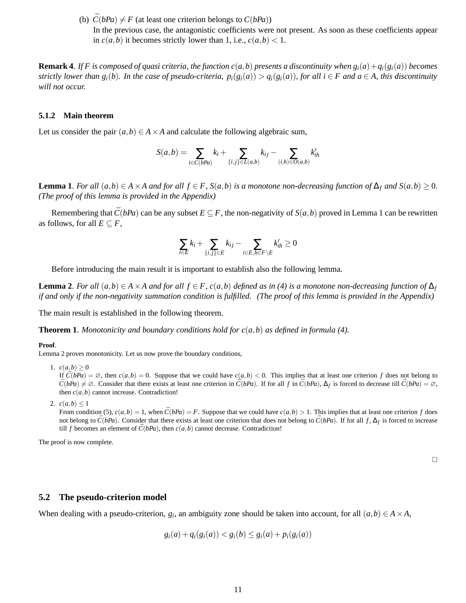(b)  $\bar{C}(bPa) \neq F$  (at least one criterion belongs to  $C(bPa)$ ) In the previous case, the antagonistic coefficients were not present. As soon as these coefficients appear in  $c(a,b)$  it becomes strictly lower than 1, i.e.,  $c(a,b) < 1$ .

**Remark 4.** If F is composed of quasi criteria, the function  $c(a,b)$  presents a discontinuity when  $g_i(a) + g_i(g_i(a))$  becomes strictly lower than  $g_i(b)$ . In the case of pseudo-criteria,  $p_i(g_i(a)) > q_i(g_i(a))$ , for all  $i \in F$  and  $a \in A$ , this discontinuity *will not occur.*

#### **5.1.2 Main theorem**

Let us consider the pair  $(a, b) \in A \times A$  and calculate the following algebraic sum,

$$
S(a,b) = \sum_{i \in \bar{C}(bPa)} k_i + \sum_{\{i,j\} \in L(a,b)} k_{ij} - \sum_{(i,h) \in O(a,b)} k'_{ih}
$$

**Lemma 1**. For all  $(a,b) \in A \times A$  and for all  $f \in F$ ,  $S(a,b)$  is a monotone non-decreasing function of  $\Delta_f$  and  $S(a,b) \ge 0$ . *(The proof of this lemma is provided in the Appendix)*

Remembering that  $\bar{C}(bPa)$  can be any subset  $E \subseteq F$ , the non-negativity of  $S(a,b)$  proved in Lemma 1 can be rewritten as follows, for all  $E \subseteq F$ ,

$$
\sum_{i \in E} k_i + \sum_{\{i,j\} \in E} k_{ij} - \sum_{i \in E, h \in F \setminus E} k'_{ih} \ge 0
$$

Before introducing the main result it is important to establish also the following lemma.

**Lemma 2**. For all  $(a,b) \in A \times A$  and for all  $f \in F$ ,  $c(a,b)$  defined as in (4) is a monotone non-decreasing function of  $\Delta_f$ *if and only if the non-negativity summation condition is fulfilled. (The proof of this lemma is provided in the Appendix)*

The main result is established in the following theorem.

**Theorem 1**. *Monotonicity and boundary conditions hold for c*(*a*,*b*) *as defined in formula (4).*

#### **Proof**.

Lemma 2 proves monotonicity. Let us now prove the boundary conditions,

1.  $c(a,b) > 0$ 

If  $\overline{C}(bPa) = \emptyset$ , then  $c(a,b) = 0$ . Suppose that we could have  $c(a,b) < 0$ . This implies that at least one criterion *f* does not belong to  $\overline{C}(bPa) \neq \emptyset$ . Consider that there exists at least one criterion in  $\overline{C}(bPa)$ . If for all *f* in  $\overline{C}(bPa)$ ,  $\Delta_f$  is forced to decrease till  $\overline{C}(bPa) = \emptyset$ , then  $c(a,b)$  cannot increase. Contradiction!

2.  $c(a,b) \leq 1$ 

From condition (5),  $c(a,b) = 1$ , when  $\overline{C}(bPa) = F$ . Suppose that we could have  $c(a,b) > 1$ . This implies that at least one criterion *f* does not belong to  $\bar{C}(bPa)$ . Consider that there exists at least one criterion that does not belong to  $\bar{C}(bPa)$ . If for all *f*,  $\Delta_f$  is forced to increase till *f* becomes an element of  $\bar{C}(bPa)$ , then  $c(a,b)$  cannot decrease. Contradiction!

The proof is now complete.

#### **5.2 The pseudo-criterion model**

When dealing with a pseudo-criterion,  $g_i$ , an ambiguity zone should be taken into account, for all  $(a,b) \in A \times A$ ,

$$
g_i(a) + q_i(g_i(a)) < g_i(b) \leq g_i(a) + p_i(g_i(a))
$$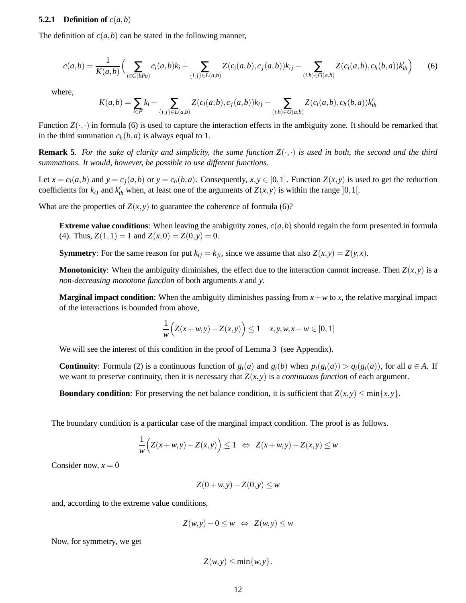### **5.2.1** Definition of  $c(a,b)$

The definition of  $c(a,b)$  can be stated in the following manner,

$$
c(a,b) = \frac{1}{K(a,b)} \Big( \sum_{i \in \bar{C}(bPa)} c_i(a,b)k_i + \sum_{\{i,j\} \in L(a,b)} Z(c_i(a,b), c_j(a,b))k_{ij} - \sum_{(i,h) \in O(a,b)} Z(c_i(a,b), c_h(b,a))k'_{ih} \Big)
$$
(6)

where,

$$
K(a,b) = \sum_{i \in F} k_i + \sum_{\{i,j\} \in L(a,b)} Z(c_i(a,b), c_j(a,b))k_{ij} - \sum_{(i,h) \in O(a,b)} Z(c_i(a,b), c_h(b,a))k'_{ih}
$$

Function  $Z(\cdot, \cdot)$  in formula (6) is used to capture the interaction effects in the ambiguity zone. It should be remarked that in the third summation  $c_h(b, a)$  is always equal to 1.

**Remark 5.** For the sake of clarity and simplicity, the same function  $Z(\cdot,\cdot)$  is used in both, the second and the third *summations. It would, however, be possible to use different functions.*

Let  $x = c_i(a, b)$  and  $y = c_i(a, b)$  or  $y = c_h(b, a)$ . Consequently,  $x, y \in [0, 1]$ . Function  $Z(x, y)$  is used to get the reduction coefficients for  $k_{ij}$  and  $k'_{ih}$  when, at least one of the arguments of  $Z(x, y)$  is within the range  $]0,1[$ .

What are the properties of  $Z(x, y)$  to guarantee the coherence of formula (6)?

**Extreme value conditions:** When leaving the ambiguity zones,  $c(a, b)$  should regain the form presented in formula (4). Thus,  $Z(1,1) = 1$  and  $Z(x,0) = Z(0,y) = 0$ .

**Symmetry**: For the same reason for put  $k_{ij} = k_{ji}$ , since we assume that also  $Z(x, y) = Z(y, x)$ .

**Monotonicity**: When the ambiguity diminishes, the effect due to the interaction cannot increase. Then  $Z(x, y)$  is a *non-decreasing monotone function* of both arguments *x* and *y*.

**Marginal impact condition**: When the ambiguity diminishes passing from  $x + w$  to  $x$ , the relative marginal impact of the interactions is bounded from above,

$$
\frac{1}{w}\Big(Z(x+w,y) - Z(x,y)\Big) \le 1 \quad x, y, w, x + w \in [0,1]
$$

We will see the interest of this condition in the proof of Lemma 3 (see Appendix).

**Continuity**: Formula (2) is a continuous function of  $g_i(a)$  and  $g_i(b)$  when  $p_i(g_i(a)) > q_i(g_i(a))$ , for all  $a \in A$ . If we want to preserve continuity, then it is necessary that  $Z(x, y)$  is a *continuous function* of each argument.

**Boundary condition**: For preserving the net balance condition, it is sufficient that  $Z(x, y) \le \min\{x, y\}$ .

The boundary condition is a particular case of the marginal impact condition. The proof is as follows.

$$
\frac{1}{w}\Big(Z(x+w,y)-Z(x,y)\Big)\leq 1 \Leftrightarrow Z(x+w,y)-Z(x,y)\leq w
$$

Consider now,  $x = 0$ 

$$
Z(0+w,y) - Z(0,y) \le w
$$

and, according to the extreme value conditions,

$$
Z(w, y) - 0 \le w \iff Z(w, y) \le w
$$

Now, for symmetry, we get

$$
Z(w, y) \le \min\{w, y\}.
$$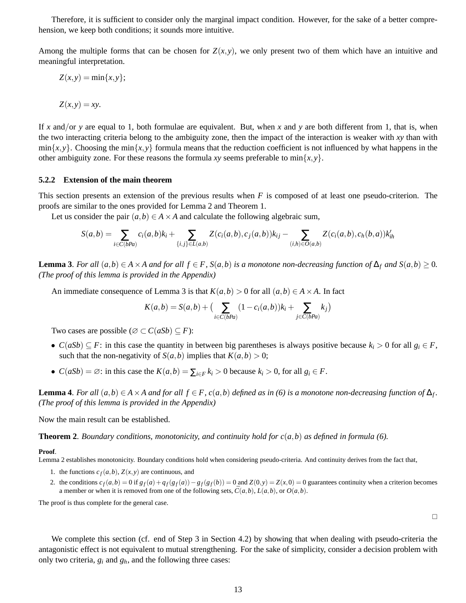Therefore, it is sufficient to consider only the marginal impact condition. However, for the sake of a better comprehension, we keep both conditions; it sounds more intuitive.

Among the multiple forms that can be chosen for  $Z(x, y)$ , we only present two of them which have an intuitive and meaningful interpretation.

$$
Z(x,y)=\min\{x,y\};
$$

$$
Z(x,y)=xy.
$$

If *x* and/or *y* are equal to 1, both formulae are equivalent. But, when *x* and *y* are both different from 1, that is, when the two interacting criteria belong to the ambiguity zone, then the impact of the interaction is weaker with *xy* than with  $\min\{x, y\}$ . Choosing the min $\{x, y\}$  formula means that the reduction coefficient is not influenced by what happens in the other ambiguity zone. For these reasons the formula *xy* seems preferable to  $\min\{x, y\}$ .

#### **5.2.2 Extension of the main theorem**

This section presents an extension of the previous results when *F* is composed of at least one pseudo-criterion. The proofs are similar to the ones provided for Lemma 2 and Theorem 1.

Let us consider the pair  $(a,b) \in A \times A$  and calculate the following algebraic sum,

$$
S(a,b) = \sum_{i \in \bar{C}(bPa)} c_i(a,b)k_i + \sum_{\{i,j\} \in L(a,b)} Z(c_i(a,b),c_j(a,b))k_{ij} - \sum_{(i,h) \in O(a,b)} Z(c_i(a,b),c_h(b,a))k'_{ih}
$$

**Lemma 3**. For all  $(a,b) \in A \times A$  and for all  $f \in F$ ,  $S(a,b)$  is a monotone non-decreasing function of  $\Delta_f$  and  $S(a,b) \ge 0$ . *(The proof of this lemma is provided in the Appendix)*

An immediate consequence of Lemma 3 is that  $K(a,b) > 0$  for all  $(a,b) \in A \times A$ . In fact

$$
K(a,b) = S(a,b) + \big(\sum_{i \in \bar{C}(bPa)} (1 - c_i(a,b))k_i + \sum_{j \in C(bPa)} k_j\big)
$$

Two cases are possible ( $\emptyset \subset C(aSb) \subseteq F$ ):

- *C*(*aSb*)  $\subseteq$  *F*: in this case the quantity in between big parentheses is always positive because  $k_i$  > 0 for all  $g_i \in F$ , such that the non-negativity of  $S(a,b)$  implies that  $K(a,b) > 0$ ;
- *C*(*aSb*) =  $\emptyset$ : in this case the *K*(*a*,*b*) =  $\sum_{i \in F} k_i > 0$  because  $k_i > 0$ , for all  $g_i \in F$ .

**Lemma 4**. For all  $(a,b) \in A \times A$  and for all  $f \in F$ ,  $c(a,b)$  defined as in (6) is a monotone non-decreasing function of  $\Delta_f$ . *(The proof of this lemma is provided in the Appendix)*

Now the main result can be established.

**Theorem 2**. *Boundary conditions, monotonicity, and continuity hold for*  $c(a,b)$  *as defined in formula (6).* 

#### **Proof**.

Lemma 2 establishes monotonicity. Boundary conditions hold when considering pseudo-criteria. And continuity derives from the fact that,

- 1. the functions  $c_f(a,b)$ ,  $Z(x, y)$  are continuous, and
- 2. the conditions  $c_f(a,b) = 0$  if  $g_f(a) + q_f(g_f(a)) g_f(g_f(b)) = 0$  and  $Z(0, y) = Z(x, 0) = 0$  guarantees continuity when a criterion becomes a member or when it is removed from one of the following sets,  $\bar{C}(a,b)$ ,  $L(a,b)$ , or  $O(a,b)$ .

The proof is thus complete for the general case.

 $\Box$ 

We complete this section (cf. end of Step 3 in Section 4.2) by showing that when dealing with pseudo-criteria the antagonistic effect is not equivalent to mutual strengthening. For the sake of simplicity, consider a decision problem with only two criteria,  $g_i$  and  $g_h$ , and the following three cases: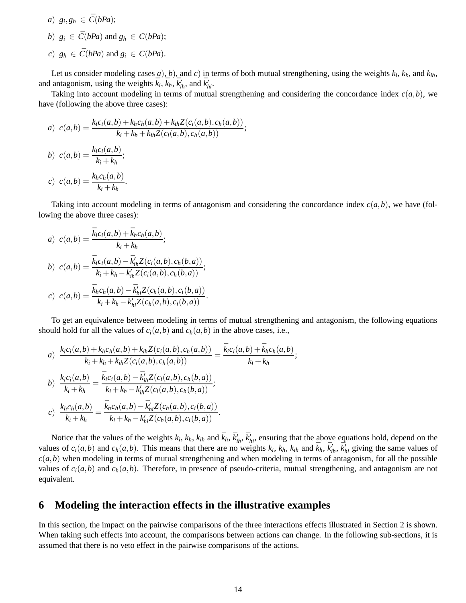- $a)$   $g_i, g_h \in \overline{C}(bPa);$
- *b*)  $g_i \in \overline{C}(bPa)$  and  $g_h \in C(bPa)$ ;
- $c)$   $g_h \in \overline{C}(bPa)$  and  $g_i \in C(bPa)$ .

Let us consider modeling cases  $a$ ),  $b$ ), and  $c$ ) in terms of both mutual strengthening, using the weights  $k_i$ ,  $k_k$ , and  $k_{ih}$ , and antagonism, using the weights  $\bar{k}_i$ ,  $\bar{k}_h$ ,  $\bar{k}'_h$ , and  $\bar{k}'_h$ .

Taking into account modeling in terms of mutual strengthening and considering the concordance index  $c(a,b)$ , we have (following the above three cases):

a) 
$$
c(a,b) = \frac{k_i c_i(a,b) + k_h c_h(a,b) + k_{ih} Z(c_i(a,b), c_h(a,b))}{k_i + k_h + k_{ih} Z(c_i(a,b), c_h(a,b))};
$$
  
b) 
$$
c(a,b) = \frac{k_i c_i(a,b)}{k_i + k_h};
$$
  
c) 
$$
c(a,b) = \frac{k_h c_h(a,b)}{k_i + k_h}.
$$

Taking into account modeling in terms of antagonism and considering the concordance index  $c(a,b)$ , we have (following the above three cases):

a) 
$$
c(a,b) = \frac{\bar{k}_ic_i(a,b) + \bar{k}_hc_h(a,b)}{\bar{k}_i + \bar{k}_h};
$$
  
\nb) 
$$
c(a,b) = \frac{\bar{k}_ic_i(a,b) - \bar{k}'_{ih}Z(c_i(a,b),c_h(b,a))}{\bar{k}_i + \bar{k}_h - \bar{k}'_{ih}Z(c_i(a,b),c_h(b,a))};
$$
  
\nc) 
$$
c(a,b) = \frac{\bar{k}_hc_h(a,b) - \bar{k}'_{hi}Z(c_h(a,b),c_i(b,a))}{\bar{k}_i + \bar{k}_h - \bar{k}'_{hi}Z(c_h(a,b),c_i(b,a))}.
$$

To get an equivalence between modeling in terms of mutual strengthening and antagonism, the following equations should hold for all the values of  $c_i(a,b)$  and  $c_h(a,b)$  in the above cases, i.e.,

a) 
$$
\frac{k_{i}c_{i}(a,b)+k_{h}c_{h}(a,b)+k_{ih}Z(c_{i}(a,b),c_{h}(a,b))}{k_{i}+k_{h}+k_{ih}Z(c_{i}(a,b),c_{h}(a,b))} = \frac{\bar{k}_{i}c_{i}(a,b)+\bar{k}_{h}c_{h}(a,b)}{\bar{k}_{i}+\bar{k}_{h}};
$$
  
b) 
$$
\frac{k_{i}c_{i}(a,b)}{k_{i}+k_{h}} = \frac{\bar{k}_{i}c_{i}(a,b)-\bar{k}_{ih}'Z(c_{i}(a,b),c_{h}(b,a))}{\bar{k}_{i}+\bar{k}_{h}+\bar{k}_{h}-\bar{k}_{ih}'Z(c_{i}(a,b),c_{h}(b,a))};
$$
  
c) 
$$
\frac{k_{h}c_{h}(a,b)}{k_{i}+k_{h}} = \frac{\bar{k}_{h}c_{h}(a,b)-\bar{k}_{hi}'Z(c_{h}(a,b),c_{i}(b,a))}{\bar{k}_{i}+\bar{k}_{h}-\bar{k}_{hi}'Z(c_{h}(a,b),c_{i}(b,a))}.
$$

Notice that the values of the weights  $k_i$ ,  $k_h$ ,  $k_{ih}$ , and  $\bar{k}_h$ ,  $\bar{k}'_{ih}$ ,  $\bar{k}'_{hi}$ , ensuring that the above equations hold, depend on the values of  $c_i(a,b)$  and  $c_h(a,b)$ . This means that there are no weights  $k_i$ ,  $k_h$ ,  $k_{ih}$  and  $\bar{k}_h$ ,  $\bar{k}'_{ih}$ ,  $\bar{k}'_{hi}$  giving the same values of  $c(a,b)$  when modeling in terms of mutual strengthening and when modeling in terms of antagonism, for all the possible values of  $c_i(a,b)$  and  $c_h(a,b)$ . Therefore, in presence of pseudo-criteria, mutual strengthening, and antagonism are not equivalent.

### **6 Modeling the interaction effects in the illustrative examples**

In this section, the impact on the pairwise comparisons of the three interactions effects illustrated in Section 2 is shown. When taking such effects into account, the comparisons between actions can change. In the following sub-sections, it is assumed that there is no veto effect in the pairwise comparisons of the actions.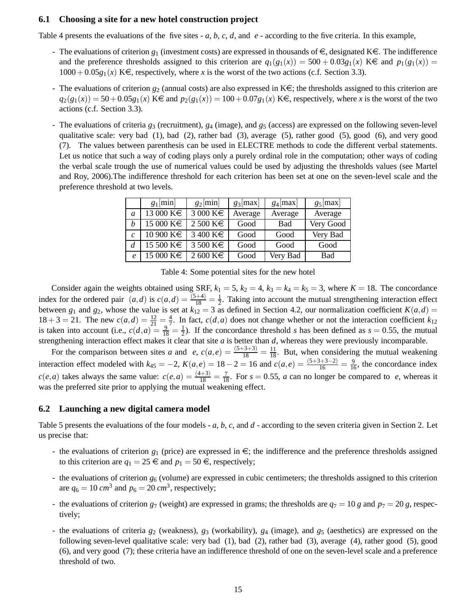### **6.1 Choosing a site for a new hotel construction project**

Table 4 presents the evaluations of the five sites - *a*, *b*, *c*, *d*, and *e* - according to the five criteria. In this example,

- The evaluations of criterion  $g_1$  (investment costs) are expressed in thousands of  $\in$ , designated K $\in$ . The indifference and the preference thresholds assigned to this criterion are  $q_1(g_1(x)) = 500 + 0.03g_1(x)$  K $\in$  and  $p_1(g_1(x)) =$  $1000+0.05g_1(x)$  K $\in$ , respectively, where *x* is the worst of the two actions (c.f. Section 3.3).
- The evaluations of criterion  $g_2$  (annual costs) are also expressed in  $K \in \mathcal{F}$ ; the thresholds assigned to this criterion are  $q_2(g_1(x)) = 50 + 0.05g_1(x)$  K $\in$  and  $p_2(g_1(x)) = 100 + 0.07g_1(x)$  K $\in$ , respectively, where *x* is the worst of the two actions (c.f. Section 3.3).
- The evaluations of criteria *g*<sup>3</sup> (recruitment), *g*<sup>4</sup> (image), and *g*<sup>5</sup> (access) are expressed on the following seven-level qualitative scale: very bad (1), bad (2), rather bad (3), average (5), rather good (5), good (6), and very good (7). The values between parenthesis can be used in ELECTRE methods to code the different verbal statements. Let us notice that such a way of coding plays only a purely ordinal role in the computation; other ways of coding the verbal scale trough the use of numerical values could be used by adjusting the thresholds values (see Martel and Roy, 2006).The indifference threshold for each criterion has been set at one on the seven-level scale and the preference threshold at two levels.

|                  | $g_1$ [min]                | $g_2$ [min]          | $g_3$ [max] | $g_4$ [max] | $g_5$ [max] |
|------------------|----------------------------|----------------------|-------------|-------------|-------------|
| a                | $\overline{13000}$ K $\in$ | $3000 \text{ K} \in$ | Average     | Average     | Average     |
| h                | 15 000 K€                  | $2500 \text{ K} \in$ | Good        | <b>Bad</b>  | Very Good   |
| $\mathcal{C}$    | $10\,900\,\mathrm{K}\in$   | $3400 \text{ K} \in$ | Good        | Good        | Very Bad    |
| d                | 15 500 K€                  | $3500 \text{ K} \in$ | Good        | Good        | Good        |
| $\boldsymbol{e}$ | $15000 \text{ K} \in$      | $2600 \text{ K} \in$ | Good        | Very Bad    | <b>Bad</b>  |

Table 4: Some potential sites for the new hotel

Consider again the weights obtained using SRF,  $k_1 = 5$ ,  $k_2 = 4$ ,  $k_3 = k_4 = k_5 = 3$ , where  $K = 18$ . The concordance index for the ordered pair  $(a,d)$  is  $c(a,d) = \frac{(5+4)}{18} = \frac{1}{2}$ . Taking into account the mutual strengthening interaction effect between  $g_1$  and  $g_2$ , whose the value is set at  $k_{12} = 3$  as defined in Section 4.2, our normalization coefficient  $K(a,d)$  $18 + 3 = 21$ . The new  $c(a,d) = \frac{12}{21} = \frac{4}{7}$  $\frac{4}{7}$ . In fact, *c*(*d*,*a*) does not change whether or not the interaction coefficient  $k_{12}$ is taken into account (i.e.,  $c(d, a) = \frac{9}{18} = \frac{1}{2}$  $\frac{1}{2}$ ). If the concordance threshold *s* has been defined as *s* = 0.55, the mutual strengthening interaction effect makes it clear that site  $a$  is better than  $d$ , whereas they were previously incomparable.

For the comparison between sites *a* and *e*,  $c(a,e) = \frac{(5+3+3)}{18} = \frac{11}{18}$ . But, when considering the mutual weakening interaction effect modeled with  $k_{45} = -2$ ,  $K(a,e) = 18 - 2 = 16$  and  $c(a,e) = \frac{(5+3+3-2)}{16} = \frac{9}{16}$ , the concordance index  $c(e, a)$  takes always the same value:  $c(e, a) = \frac{(4+3)}{18} = \frac{7}{18}$ . For  $s = 0.55$ , *a* can no longer be compared to *e*, whereas it was the preferred site prior to applying the mutual weakening effect.

#### **6.2 Launching a new digital camera model**

Table 5 presents the evaluations of the four models - *a*, *b*, *c*, and *d* - according to the seven criteria given in Section 2. Let us precise that:

- the evaluations of criterion  $g_1$  (price) are expressed in  $\epsilon$ ; the indifference and the preference thresholds assigned to this criterion are  $q_1 = 25 \in \text{and } p_1 = 50 \in \text{, respectively};$
- the evaluations of criterion *g*<sup>6</sup> (volume) are expressed in cubic centimeters; the thresholds assigned to this criterion are  $q_6 = 10$  *cm*<sup>3</sup> and  $p_6 = 20$  *cm*<sup>3</sup>, respectively;
- the evaluations of criterion  $g_7$  (weight) are expressed in grams; the thresholds are  $q_7 = 10$  g and  $p_7 = 20$  g, respectively;
- the evaluations of criteria *g*<sup>2</sup> (weakness), *g*<sup>3</sup> (workability), *g*<sup>4</sup> (image), and *g*<sup>5</sup> (aesthetics) are expressed on the following seven-level qualitative scale: very bad (1), bad (2), rather bad (3), average (4), rather good (5), good (6), and very good (7); these criteria have an indifference threshold of one on the seven-level scale and a preference threshold of two.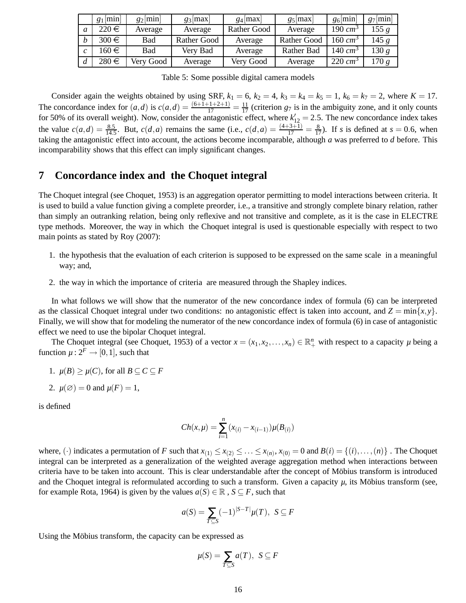|                  | $g_1$ [min] | $g_2$  min | $g_3$  max  | $g_4$  max         | $g_5$  max         | $g_6$  min           | $g_7$  min |
|------------------|-------------|------------|-------------|--------------------|--------------------|----------------------|------------|
|                  | $220 \in$   | Average    | Average     | <b>Rather Good</b> | Average            | 190 $cm^3$           | 155g       |
| $\boldsymbol{h}$ | $300 \in$   | Bad        | Rather Good | Average            | <b>Rather Good</b> | 160 cm <sup>3</sup>  | 145g       |
|                  | 160€        | Bad        | Very Bad    | Average            | Rather Bad         | 140 cm <sup>3</sup>  | 130 $g$    |
|                  | $280 \in$   | Very Good  | Average     | Very Good          | Average            | $220 \, \text{cm}^3$ | 170g       |

Table 5: Some possible digital camera models

Consider again the weights obtained by using SRF,  $k_1 = 6$ ,  $k_2 = 4$ ,  $k_3 = k_4 = k_5 = 1$ ,  $k_6 = k_7 = 2$ , where  $K = 17$ . The concordance index for  $(a,d)$  is  $c(a,d) = \frac{(6+1+1+2+1)}{17} = \frac{11}{17}$  (criterion  $g_7$  is in the ambiguity zone, and it only counts for 50% of its overall weight). Now, consider the antagonistic effect, where  $k'_{12} = 2.5$ . The new concordance index takes the value  $c(a,d) = \frac{8.5}{14.5}$ . But,  $c(d,a)$  remains the same (i.e.,  $c(d,a) = \frac{(4+3+1)}{17} = \frac{8}{17}$ ). If *s* is defined at  $s = 0.6$ , when taking the antagonistic effect into account, the actions become incomparable, although *a* was preferred to *d* before. This incomparability shows that this effect can imply significant changes.

# **7 Concordance index and the Choquet integral**

The Choquet integral (see Choquet, 1953) is an aggregation operator permitting to model interactions between criteria. It is used to build a value function giving a complete preorder, i.e., a transitive and strongly complete binary relation, rather than simply an outranking relation, being only reflexive and not transitive and complete, as it is the case in ELECTRE type methods. Moreover, the way in which the Choquet integral is used is questionable especially with respect to two main points as stated by Roy (2007):

- 1. the hypothesis that the evaluation of each criterion is supposed to be expressed on the same scale in a meaningful way; and,
- 2. the way in which the importance of criteria are measured through the Shapley indices.

In what follows we will show that the numerator of the new concordance index of formula (6) can be interpreted as the classical Choquet integral under two conditions: no antagonistic effect is taken into account, and  $Z = \min\{x, y\}$ . Finally, we will show that for modeling the numerator of the new concordance index of formula (6) in case of antagonistic effect we need to use the bipolar Choquet integral.

The Choquet integral (see Choquet, 1953) of a vector  $x = (x_1, x_2, ..., x_n) \in \mathbb{R}^n_+$  with respect to a capacity  $\mu$  being a function  $\mu: 2^F \rightarrow [0,1]$ , such that

- 1.  $\mu(B) \geq \mu(C)$ , for all  $B \subseteq C \subseteq F$
- 2.  $\mu(\emptyset) = 0$  and  $\mu(F) = 1$ ,

is defined

$$
Ch(x,\mu) = \sum_{i=1}^{n} (x_{(i)} - x_{(i-1)})\mu(B_{(i)})
$$

where, (·) indicates a permutation of *F* such that  $x_{(1)} \le x_{(2)} \le \ldots \le x_{(n)}$ ,  $x_{(0)} = 0$  and  $B(i) = \{(i), \ldots, (n)\}$ . The Choquet integral can be interpreted as a generalization of the weighted average aggregation method when interactions between criteria have to be taken into account. This is clear understandable after the concept of Möbius transform is introduced and the Choquet integral is reformulated according to such a transform. Given a capacity  $\mu$ , its Möbius transform (see, for example Rota, 1964) is given by the values  $a(S) \in \mathbb{R}$ ,  $S \subseteq F$ , such that

$$
a(S) = \sum_{T \subseteq S} (-1)^{|S-T|} \mu(T), \ S \subseteq F
$$

Using the Möbius transform, the capacity can be expressed as

$$
\mu(S) = \sum_{T \subseteq S} a(T), \ S \subseteq F
$$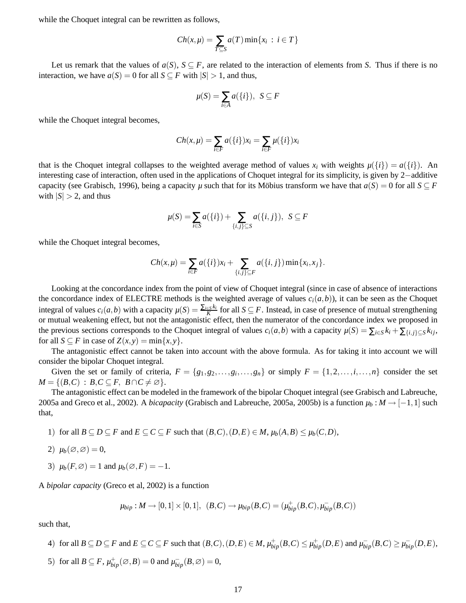while the Choquet integral can be rewritten as follows,

$$
Ch(x,\mu)=\sum_{T\subseteq S}a(T)\min\{x_i\,:\,i\in T\}
$$

Let us remark that the values of  $a(S)$ ,  $S \subseteq F$ , are related to the interaction of elements from *S*. Thus if there is no interaction, we have  $a(S) = 0$  for all  $S \subseteq F$  with  $|S| > 1$ , and thus,

$$
\mu(S) = \sum_{i \in A} a(\{i\}), \ S \subseteq F
$$

while the Choquet integral becomes,

$$
Ch(x,\mu) = \sum_{i \in F} a({i})x_i = \sum_{i \in F} \mu({i})x_i
$$

that is the Choquet integral collapses to the weighted average method of values  $x_i$  with weights  $\mu({i}) = a({i})$ . An interesting case of interaction, often used in the applications of Choquet integral for its simplicity, is given by 2−additive capacity (see Grabisch, 1996), being a capacity *µ* such that for its Möbius transform we have that  $a(S) = 0$  for all  $S \subseteq F$ with  $|S| > 2$ , and thus

$$
\mu(S) = \sum_{i \in S} a(\{i\}) + \sum_{\{i,j\} \subseteq S} a(\{i,j\}), \ \ S \subseteq F
$$

while the Choquet integral becomes,

$$
Ch(x,\mu) = \sum_{i \in F} a({i})x_i + \sum_{\{i,j\} \subseteq F} a({i,j}) \min\{x_i,x_j\}.
$$

Looking at the concordance index from the point of view of Choquet integral (since in case of absence of interactions the concordance index of ELECTRE methods is the weighted average of values  $c_i(a,b)$ ), it can be seen as the Choquet integral of values  $c_i(a,b)$  with a capacity  $\mu(S) = \frac{\sum_{i \in S} k_i}{K}$  for all  $S \subseteq F$ . Instead, in case of presence of mutual strengthening or mutual weakening effect, but not the antagonistic effect, then the numerator of the concordance index we proposed in the previous sections corresponds to the Choquet integral of values  $c_i(a,b)$  with a capacity  $\mu(S) = \sum_{i \in S} k_i + \sum_{\{i,j\} \subset S} k_{ij}$ , for all  $S \subseteq F$  in case of  $Z(x, y) = \min\{x, y\}.$ 

The antagonistic effect cannot be taken into account with the above formula. As for taking it into account we will consider the bipolar Choquet integral.

Given the set or family of criteria,  $F = \{g_1, g_2, \ldots, g_i, \ldots, g_n\}$  or simply  $F = \{1, 2, \ldots, i, \ldots, n\}$  consider the set  $M = \{(B, C) : B, C \subseteq F, B \cap C \neq \emptyset\}.$ 

The antagonistic effect can be modeled in the framework of the bipolar Choquet integral (see Grabisch and Labreuche, 2005a and Greco et al., 2002). A *bicapacity* (Grabisch and Labreuche, 2005a, 2005b) is a function  $\mu_b : M \to [-1,1]$  such that,

- 1) for all  $B \subseteq D \subseteq F$  and  $E \subseteq C \subseteq F$  such that  $(B, C), (D, E) \in M$ ,  $\mu_b(A, B) \leq \mu_b(C, D)$ ,
- 2)  $\mu_b(\varnothing,\varnothing)=0$ ,
- 3)  $\mu_b(F, \varnothing) = 1$  and  $\mu_b(\varnothing, F) = -1$ .

A *bipolar capacity* (Greco et al, 2002) is a function

$$
\mu_{bip}: M \to [0,1] \times [0,1], (B,C) \to \mu_{bip}(B,C) = (\mu_{bip}^+(B,C), \mu_{bip}^-(B,C))
$$

such that,

- 4) for all  $B \subseteq D \subseteq F$  and  $E \subseteq C \subseteq F$  such that  $(B,C),(D,E) \in M$ ,  $\mu_{bip}^+(B,C) \leq \mu_{bip}^+(D,E)$  and  $\mu_{bip}^-(B,C) \geq \mu_{bip}^-(D,E)$ ,
- 5) for all  $B \subseteq F$ ,  $\mu_{bip}^+(\emptyset, B) = 0$  and  $\mu_{bip}^-(B, \emptyset) = 0$ ,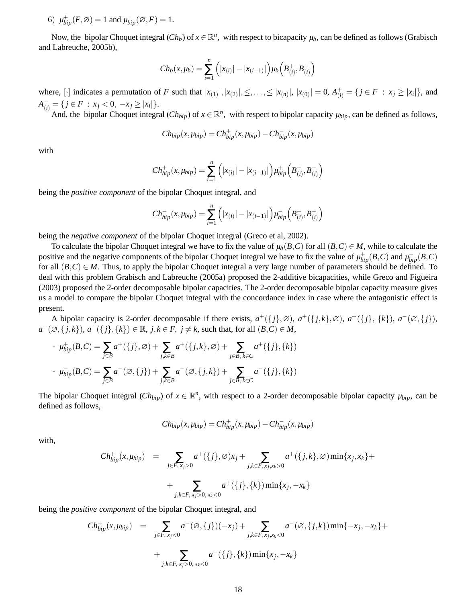6)  $\mu_{bip}^+(F, \varnothing) = 1$  and  $\mu_{bip}^-(\varnothing, F) = 1$ .

Now, the bipolar Choquet integral  $(Ch_b)$  of  $x \in \mathbb{R}^n$ , with respect to bicapacity  $\mu_b$ , can be defined as follows (Grabisch and Labreuche, 2005b),

$$
Ch_b(x,\mu_b) = \sum_{i=1}^n (|x_{(i)}| - |x_{(i-1)}|)\mu_b(B_{(i)}^+,B_{(i)}^-)
$$

where, [·] indicates a permutation of F such that  $|x_{(1)}|, |x_{(2)}|, \leq, ..., \leq |x_{(n)}|, |x_{(0)}| = 0$ ,  $A_{(i)}^+ = \{j \in F : x_j \geq |x_i|\}$ , and  $A_{(i)}^- = \{ j \in F : x_j < 0, -x_j \ge |x_i| \}.$ 

And, the bipolar Choquet integral  $(Ch_{bip})$  of  $x \in \mathbb{R}^n$ , with respect to bipolar capacity  $\mu_{bip}$ , can be defined as follows,

$$
Ch_{bip}(x,\mu_{bip})=Ch_{bip}^+(x,\mu_{bip})-Ch_{bip}^-(x,\mu_{bip})
$$

with

$$
Ch_{bip}^+(x,\mu_{bip}) = \sum_{i=1}^n (|x_{(i)}| - |x_{(i-1)}|)\mu_{bip}^+(B_{(i)}^+,B_{(i)}^-)
$$

being the *positive component* of the bipolar Choquet integral, and

$$
Ch_{bip}^-(x,\mu_{bip}) = \sum_{i=1}^n (|x_{(i)}| - |x_{(i-1)}|)\mu_{bip}^-(B_{(i)}^+,B_{(i)}^-)
$$

being the *negative component* of the bipolar Choquet integral (Greco et al, 2002).

To calculate the bipolar Choquet integral we have to fix the value of  $\mu_b(B,C)$  for all  $(B,C) \in M$ , while to calculate the positive and the negative components of the bipolar Choquet integral we have to fix the value of  $\mu_{bip}^+(B,C)$  and  $\mu_{bip}^-(B,C)$ for all  $(B,C) \in M$ . Thus, to apply the bipolar Choquet integral a very large number of parameters should be defined. To deal with this problem Grabisch and Labreuche (2005a) proposed the 2-additive bicapacities, while Greco and Figueira (2003) proposed the 2-order decomposable bipolar capacities. The 2-order decomposable bipolar capacity measure gives us a model to compare the bipolar Choquet integral with the concordance index in case where the antagonistic effect is present.

A bipolar capacity is 2-order decomposable if there exists,  $a^+(\{j\},\emptyset)$ ,  $a^+(\{j,k\},\emptyset)$ ,  $a^+(\{j\},\{k\})$ ,  $a^-(\emptyset,\{j\})$ , *a*<sup>−</sup>(∅, {*j*,*k*}), *a*<sup>−</sup>({*j*}, {*k*}) ∈ ℝ, *j*,*k* ∈ *F*, *j* ≠ *k*, such that, for all  $(B, C) \in M$ ,

- 
$$
\mu_{bip}^+(B,C) = \sum_{j \in B} a^+(\{j\}, \emptyset) + \sum_{j,k \in B} a^+(\{j,k\}, \emptyset) + \sum_{j \in B, k \in C} a^+(\{j\}, \{k\})
$$
  
-  $\mu_{bip}^-(B,C) = \sum_{j \in B} a^-(\emptyset, \{j\}) + \sum_{j,k \in B} a^-(\emptyset, \{j,k\}) + \sum_{j \in B, k \in C} a^-(\{j\}, \{k\})$ 

The bipolar Choquet integral  $(Ch_{bip})$  of  $x \in \mathbb{R}^n$ , with respect to a 2-order decomposable bipolar capacity  $\mu_{bip}$ , can be defined as follows,

$$
Ch_{bip}(x,\mu_{bip})=Ch_{bip}^+(x,\mu_{bip})-Ch_{bip}^-(x,\mu_{bip})
$$

with,

$$
Ch_{bip}^+(x,\mu_{bip}) = \sum_{j \in F, x_j > 0} a^+(\{j\}, \varnothing)x_j + \sum_{j,k \in F, x_j, x_k > 0} a^+(\{j,k\}, \varnothing) \min\{x_j, x_k\} + \sum_{j,k \in F, x_j > 0, x_k < 0} a^+(\{j\}, \{k\}) \min\{x_j, -x_k\}
$$

being the *positive component* of the bipolar Choquet integral, and

$$
Ch_{bip}^-(x,\mu_{bip}) = \sum_{j \in F, x_j < 0} a^-(\emptyset, \{j\})(-x_j) + \sum_{j,k \in F, x_j, x_k < 0} a^-(\emptyset, \{j,k\}) \min\{-x_j, -x_k\} + \sum_{j,k \in F, x_j > 0, x_k < 0} a^-(\{j\}, \{k\}) \min\{x_j, -x_k\}
$$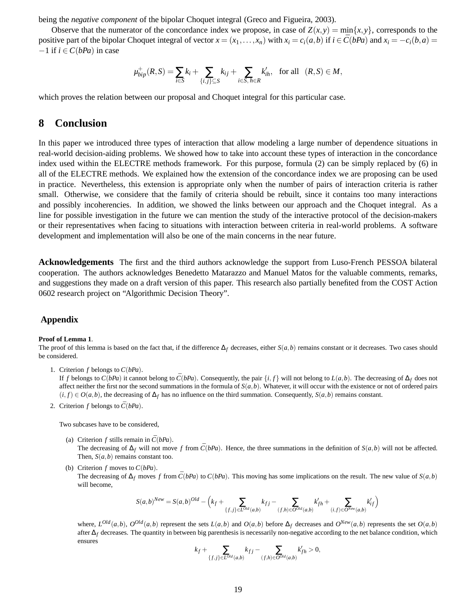being the *negative component* of the bipolar Choquet integral (Greco and Figueira, 2003).

Observe that the numerator of the concordance index we propose, in case of  $Z(x, y) = min\{x, y\}$ , corresponds to the positive part of the bipolar Choquet integral of vector  $x = (x_1, ..., x_n)$  with  $x_i = c_i(a, b)$  if  $i \in \overline{C}(bPa)$  and  $x_i = -c_i(b, a)$  $-1$  if  $i \in C(bPa)$  in case

$$
\mu_{bip}^+(R,S) = \sum_{i \in S} k_i + \sum_{\{i,j\} \subseteq S} k_{ij} + \sum_{i \in S, h \in R} k'_{ih}, \text{ for all } (R,S) \in M,
$$

which proves the relation between our proposal and Choquet integral for this particular case.

# **8 Conclusion**

In this paper we introduced three types of interaction that allow modeling a large number of dependence situations in real-world decision-aiding problems. We showed how to take into account these types of interaction in the concordance index used within the ELECTRE methods framework. For this purpose, formula (2) can be simply replaced by (6) in all of the ELECTRE methods. We explained how the extension of the concordance index we are proposing can be used in practice. Nevertheless, this extension is appropriate only when the number of pairs of interaction criteria is rather small. Otherwise, we considere that the family of criteria should be rebuilt, since it contains too many interactions and possibly incoherencies. In addition, we showed the links between our approach and the Choquet integral. As a line for possible investigation in the future we can mention the study of the interactive protocol of the decision-makers or their representatives when facing to situations with interaction between criteria in real-world problems. A software development and implementation will also be one of the main concerns in the near future.

**Acknowledgements** The first and the third authors acknowledge the support from Luso-French PESSOA bilateral cooperation. The authors acknowledges Benedetto Matarazzo and Manuel Matos for the valuable comments, remarks, and suggestions they made on a draft version of this paper. This research also partially benefited from the COST Action 0602 research project on "Algorithmic Decision Theory".

### **Appendix**

#### **Proof of Lemma 1**.

The proof of this lemma is based on the fact that, if the difference  $\Delta_f$  decreases, either  $S(a, b)$  remains constant or it decreases. Two cases should be considered.

1. Criterion *f* belongs to *C*(*bPa*).

If *f* belongs to  $C(bPa)$  it cannot belong to  $\overline{C}(bPa)$ . Consequently, the pair  $\{i, f\}$  will not belong to  $L(a, b)$ . The decreasing of  $\Delta_f$  does not affect neither the first nor the second summations in the formula of  $S(a, b)$ . Whatever, it will occur with the existence or not of ordered pairs  $(i, f) \in O(a, b)$ , the decreasing of  $\Delta_f$  has no influence on the third summation. Consequently,  $S(a, b)$  remains constant.

2. Criterion *f* belongs to  $\bar{C}(bPa)$ .

Two subcases have to be considered,

- (a) Criterion *f* stills remain in  $\bar{C}(bPa)$ . The decreasing of  $\Delta_f$  will not move *f* from  $\bar{C}(bPa)$ . Hence, the three summations in the definition of  $S(a,b)$  will not be affected. Then,  $S(a, b)$  remains constant too.
- (b) Criterion *f* moves to *C*(*bPa*).

The decreasing of  $\Delta_f$  moves *f* from  $\bar{C}(bPa)$  to  $C(bPa)$ . This moving has some implications on the result. The new value of  $S(a,b)$ will become,

$$
S(a,b)^{New} = S(a,b)^{Old} - \Big(k_f + \sum_{\{f,j\} \in L^{Old}(a,b)} k_{fj} - \sum_{(f,h) \in O^{Old}(a,b)} k'_{fh} + \sum_{(i,f) \in O^{New}(a,b)} k'_{if}\Big)
$$

where,  $L^{Old}(a,b)$ ,  $O^{Old}(a,b)$  represent the sets  $L(a,b)$  and  $O(a,b)$  before  $\Delta_f$  decreases and  $O^{New}(a,b)$  represents the set  $O(a,b)$ after ∆*<sup>f</sup>* decreases. The quantity in between big parenthesis is necessarily non-negative according to the net balance condition, which ensures

$$
k_f + \sum_{\{f,j\} \in L^{Old}(a,b)} k_{fj} - \sum_{(f,h) \in O^{Old}(a,b)} k'_{fh} > 0,
$$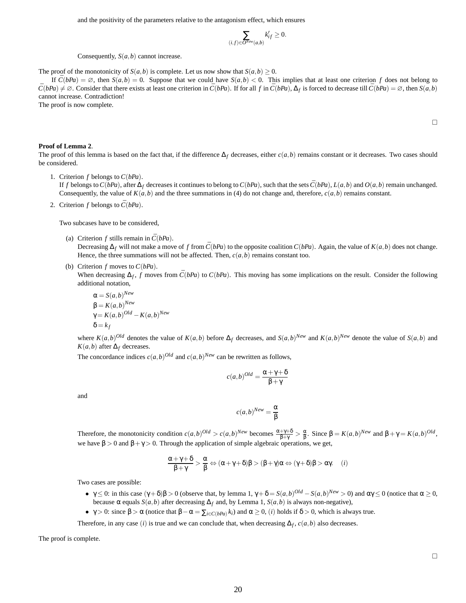and the positivity of the parameters relative to the antagonism effect, which ensures

$$
\sum_{(i,f)\in O^{\mathit{New}}(a,b)}k'_{if}\geq 0.
$$

Consequently, *S*(*a*,*b*) cannot increase.

The proof of the monotonicity of *S*(*a*,*b*) is complete. Let us now show that  $S(a,b) \geq 0$ .

If  $\bar{C}(bPa) = \emptyset$ , then  $S(a,b) = 0$ . Suppose that we could have  $S(a,b) < 0$ . This implies that at least one criterion *f* does not belong to  $\bar{C}(bPa) \neq \emptyset$ . Consider that there exists at least one criterion in  $\bar{C}(bPa)$ . If for all f in  $\bar{C}(bPa)$ ,  $\Delta_f$  is forced to decrease till  $\bar{C}(bPa) = \emptyset$ , then  $S(a,b)$ cannot increase. Contradiction!

The proof is now complete.

#### **Proof of Lemma 2**.

The proof of this lemma is based on the fact that, if the difference  $\Delta_f$  decreases, either  $c(a, b)$  remains constant or it decreases. Two cases should be considered.

1. Criterion *f* belongs to *C*(*bPa*).

If f belongs to  $C(bPa)$ , after  $\Delta_f$  decreases it continues to belong to  $C(bPa)$ , such that the sets  $\bar{C}(bPa)$ ,  $L(a,b)$  and  $O(a,b)$  remain unchanged. Consequently, the value of  $K(a,b)$  and the three summations in (4) do not change and, therefore,  $c(a,b)$  remains constant.

2. Criterion *f* belongs to  $\bar{C}(bPa)$ .

Two subcases have to be considered,

- (a) Criterion *f* stills remain in  $\bar{C}(bPa)$ . Decreasing  $\Delta_f$  will not make a move of *f* from  $\bar{C}(bPa)$  to the opposite coalition  $C(bPa)$ . Again, the value of  $K(a,b)$  does not change. Hence, the three summations will not be affected. Then,  $c(a, b)$  remains constant too.
- (b) Criterion *f* moves to *C*(*bPa*).

When decreasing  $\Delta_f$ , *f* moves from  $\bar{C}(bPa)$  to  $C(bPa)$ . This moving has some implications on the result. Consider the following additional notation,

$$
\alpha = S(a, b)^{New}
$$
  
\n
$$
\beta = K(a, b)^{New}
$$
  
\n
$$
\gamma = K(a, b)^{Old} - K(a, b)^{New}
$$
  
\n
$$
\delta = k_f
$$

where  $K(a,b)^{Old}$  denotes the value of  $K(a,b)$  before  $\Delta_f$  decreases, and  $S(a,b)^{New}$  and  $K(a,b)^{New}$  denote the value of  $S(a,b)$  and  $K(a,b)$  after  $\Delta_f$  decreases.

The concordance indices  $c(a,b)^{Old}$  and  $c(a,b)^{New}$  can be rewritten as follows,

$$
c(a,b)^{Old} = \frac{\alpha + \gamma + \delta}{\beta + \gamma}
$$

and

$$
c(a,b)^{New} = \frac{\alpha}{\beta}
$$

Therefore, the monotonicity condition  $c(a,b)^{Old} > c(a,b)^{New}$  becomes  $\frac{\alpha + \gamma + \delta}{\beta + \gamma} > \frac{\alpha}{\beta}$ . Since  $\beta = K(a,b)^{New}$  and  $\beta + \gamma = K(a,b)^{Old}$ , we have  $\beta > 0$  and  $\beta + \gamma > 0$ . Through the application of simple algebraic operations, we get,

$$
\frac{\alpha+\gamma+\delta}{\beta+\gamma}>\frac{\alpha}{\beta} \Leftrightarrow (\alpha+\gamma+\delta)\beta>(\beta+\gamma)\alpha \Leftrightarrow (\gamma+\delta)\beta>\alpha\gamma. \quad \ (i)
$$

Two cases are possible:

- $\gamma \leq 0$ : in this case  $(\gamma + \delta)\beta > 0$  (observe that, by lemma 1,  $\gamma + \delta = S(a, b)^{Old} S(a, b)^{New} > 0$ ) and  $\alpha \gamma \leq 0$  (notice that  $\alpha \geq 0$ , because α equals *S*(*a*,*b*) after decreasing  $\Delta_f$  and, by Lemma 1, *S*(*a*,*b*) is always non-negative),
- γ > 0: since  $β$  > α (notice that  $β α = Σ$ <sub>*i*∈*C*(*bPa*)</sub> $k_i$ ) and  $α ≥ 0$ , (*i*) holds if  $δ > 0$ , which is always true.

Therefore, in any case (*i*) is true and we can conclude that, when decreasing  $\Delta_f$ ,  $c(a, b)$  also decreases.

The proof is complete.

 $\Box$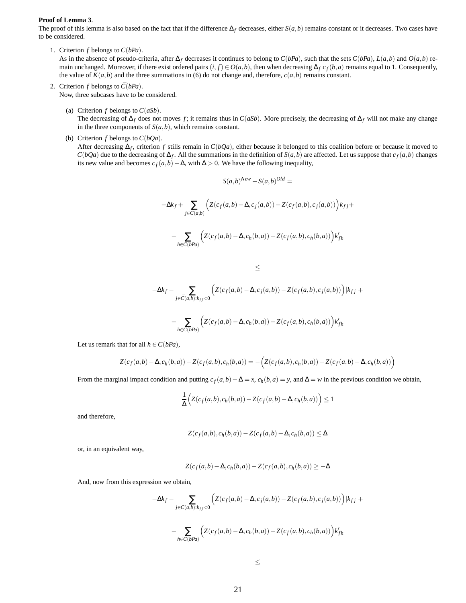#### **Proof of Lemma 3**.

The proof of this lemma is also based on the fact that if the difference  $\Delta_f$  decreases, either  $S(a, b)$  remains constant or it decreases. Two cases have to be considered.

1. Criterion *f* belongs to *C*(*bPa*).

As in the absence of pseudo-criteria, after  $\Delta_f$  decreases it continues to belong to  $C(bPa)$ , such that the sets  $\bar{C}(bPa)$ ,  $L(a,b)$  and  $O(a,b)$  remain unchanged. Moreover, if there exist ordered pairs  $(i, f) \in O(a, b)$ , then when decreasing  $\Delta_f c_f(b, a)$  remains equal to 1. Consequently, the value of  $K(a,b)$  and the three summations in (6) do not change and, therefore,  $c(a,b)$  remains constant.

- 2. Criterion  $f$  belongs to  $\bar{C}(bPa)$ . Now, three subcases have to be considered.
	- (a) Criterion *f* belongs to *C*(*aSb*).

The decreasing of  $\Delta_f$  does not moves *f*; it remains thus in *C*(*aSb*). More precisely, the decreasing of  $\Delta_f$  will not make any change in the three components of  $S(a,b)$ , which remains constant.

(b) Criterion *f* belongs to *C*(*bQa*).

After decreasing ∆*<sup>f</sup>* , criterion *f* stills remain in *C*(*bQa*), either because it belonged to this coalition before or because it moved to *C*(*bQa*) due to the decreasing of  $\Delta_f$ . All the summations in the definition of *S*(*a*,*b*) are affected. Let us suppose that  $c_f(a,b)$  changes its new value and becomes  $c_f(a,b) - \Delta$ , with  $\Delta > 0$ . We have the following inequality,

$$
S(a,b)^{New} - S(a,b)^{Old} =
$$
  

$$
-\Delta k_f + \sum_{j \in \tilde{C}(a,b)} \left( Z(c_f(a,b) - \Delta, c_j(a,b)) - Z(c_f(a,b), c_j(a,b)) \right) k_{fj} +
$$
  

$$
-\sum_{h \in C(bPa)} \left( Z(c_f(a,b) - \Delta, c_h(b,a)) - Z(c_f(a,b), c_h(b,a)) \right) k'_{fh}
$$

$$
\leq
$$

$$
-\Delta k_f - \sum_{j \in \bar{C}(a,b):k_{fj} < 0} \Big( Z(c_f(a,b) - \Delta, c_j(a,b)) - Z(c_f(a,b), c_j(a,b)) \Big) |k_{fj}| +
$$

$$
-\sum_{h\in C(bPa)}\Big(Z(c_f(a,b)-\Delta,c_h(b,a))-Z(c_f(a,b),c_h(b,a))\Big)k_{fh}'
$$

Let us remark that for all  $h \in C(bPa)$ ,

$$
Z(c_f(a,b) - \Delta, c_h(b,a)) - Z(c_f(a,b), c_h(b,a)) = -\Big(Z(c_f(a,b), c_h(b,a)) - Z(c_f(a,b) - \Delta, c_h(b,a))\Big)
$$

From the marginal impact condition and putting  $c_f(a,b) - \Delta = x$ ,  $c_h(b,a) = y$ , and  $\Delta = w$  in the previous condition we obtain,

$$
\frac{1}{\Delta}\Big(Z(c_f(a,b),c_h(b,a)) - Z(c_f(a,b) - \Delta, c_h(b,a))\Big) \le 1
$$

and therefore,

$$
Z(c_f(a,b),c_h(b,a)) - Z(c_f(a,b) - \Delta, c_h(b,a)) \le \Delta
$$

or, in an equivalent way,

$$
Z(c_f(a,b) - \Delta, c_h(b,a)) - Z(c_f(a,b), c_h(b,a)) \geq -\Delta
$$

And, now from this expression we obtain,

$$
-\Delta k_f - \sum_{j \in \bar{C}(a,b):k_{fj} < 0} \Big( Z(c_f(a,b) - \Delta, c_j(a,b)) - Z(c_f(a,b), c_j(a,b)) \Big) |k_{fj}| +
$$
\n
$$
-\sum_{h \in C(bPa)} \Big( Z(c_f(a,b) - \Delta, c_h(b,a)) - Z(c_f(a,b), c_h(b,a)) \Big) k_{fh}'
$$

$$
\leq
$$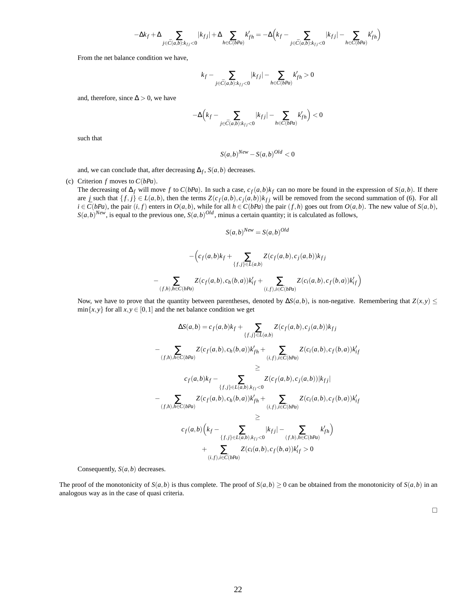$$
-\Delta k_f+\Delta\sum_{j\in \bar{C}(a,b):k_{fj}<0}|k_{fj}|+\Delta\sum_{h\in C(bPa)}k'_{fh}=-\Delta\Big(k_f-\sum_{j\in \bar{C}(a,b):k_{fj}<0}|k_{fj}|-\sum_{h\in C(bPa)}k'_{fh}\Big)
$$

From the net balance condition we have,

$$
k_f - \sum_{j \in \bar{C}(a,b):k_{fj} < 0} |k_{fj}| - \sum_{h \in C(bPa)} k'_{fh} > 0
$$

and, therefore, since  $\Delta > 0$ , we have

$$
-\Delta\Big(k_f-\sum_{j\in\bar{C}(a,b):k_{fj}<0}|k_{fj}|-\sum_{h\in C(bPa)}k'_{fh}\Big)<0
$$

such that

$$
S(a,b)^{New} - S(a,b)^{Old} < 0
$$

and, we can conclude that, after decreasing  $\Delta_f$ ,  $S(a,b)$  decreases.

(c) Criterion *f* moves to *C*(*bPa*).

The decreasing of  $\Delta_f$  will move *f* to *C*(*bPa*). In such a case,  $c_f(a, b)k_f$  can no more be found in the expression of  $S(a, b)$ . If there are *j* such that  $\{f, j\} \in L(a, b)$ , then the terms  $Z(c_f(a, b), c_j(a, b))k_{fj}$  will be removed from the second summation of (6). For all  $i \in \overline{C}(bPa)$ , the pair  $(i, f)$  enters in  $O(a, b)$ , while for all  $h \in C(bPa)$  the pair  $(f, h)$  goes out from  $O(a, b)$ . The new value of  $S(a, b)$ ,  $S(a,b)^{New}$ , is equal to the previous one,  $S(a,b)^{Old}$ , minus a certain quantity; it is calculated as follows,

$$
S(a,b)^{New} = S(a,b)^{Old}
$$

$$
-\left(c_f(a,b)k_f + \sum_{\{f,j\} \in L(a,b)} Z(c_f(a,b), c_j(a,b))k_{fj}\n- \sum_{(f,h),h \in C(bPa)} Z(c_f(a,b), c_h(b,a))k'_{if} + \sum_{(i,f),i \in \bar{C}(bPa)} Z(c_i(a,b), c_f(b,a))k'_{if}\right)
$$

Now, we have to prove that the quantity between parentheses, denoted by  $\Delta S(a, b)$ , is non-negative. Remembering that  $Z(x, y) \leq$  $min{x, y}$  for all  $x, y \in [0, 1]$  and the net balance condition we get

$$
\Delta S(a,b) = c_f(a,b)k_f + \sum_{\{f,j\} \in L(a,b)} Z(c_f(a,b), c_j(a,b))k_{fj}
$$
  
\n
$$
- \sum_{(f,h),h \in C(bPa)} Z(c_f(a,b), c_h(b,a))k'_{fh} + \sum_{(i,f),i \in \bar{C}(bPa)} Z(c_i(a,b), c_f(b,a))k'_{if}
$$
  
\n
$$
\geq
$$
  
\n
$$
c_f(a,b)k_f - \sum_{\{f,j\} \in L(a,b),k_{fj} < 0} Z(c_f(a,b), c_j(a,b))|k_{fj}|
$$
  
\n
$$
- \sum_{(f,h),h \in C(bPa)} Z(c_f(a,b), c_h(b,a))k'_{fh} + \sum_{(i,f),i \in \bar{C}(bPa)} Z(c_i(a,b), c_f(b,a))k'_{if}
$$
  
\n
$$
\geq
$$
  
\n
$$
c_f(a,b) \left(k_f - \sum_{\{f,j\} \in L(a,b),k_{fj} < 0} |k_{fj}| - \sum_{(f,h),h \in C(bPa)} k'_{fh}\right)
$$
  
\n
$$
+ \sum_{(i,f),i \in \bar{C}(bPa)} Z(c_i(a,b), c_f(b,a))k'_{if} > 0
$$

Consequently, *S*(*a*,*b*) decreases.

The proof of the monotonicity of  $S(a,b)$  is thus complete. The proof of  $S(a,b) \ge 0$  can be obtained from the monotonicity of  $S(a,b)$  in an analogous way as in the case of quasi criteria.

 $\Box$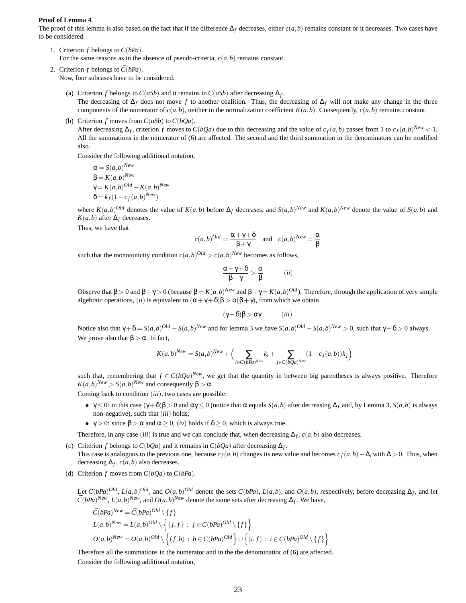#### **Proof of Lemma 4**.

The proof of this lemma is also based on the fact that if the difference  $\Delta_f$  decreases, either  $c(a, b)$  remains constant or it decreases. Two cases have to be considered.

- 1. Criterion *f* belongs to *C*(*bPa*). For the same reasons as in the absence of pseudo-criteria,  $c(a, b)$  remains constant.
- 2. Criterion *f* belongs to  $\overline{C}(bPa)$ . Now, four subcases have to be considered.
	- (a) Criterion *f* belongs to  $C(aSb)$  and it remains in  $C(aSb)$  after decreasing  $\Delta_f$ . The decreasing of ∆*<sup>f</sup>* does not move *f* to another coalition. Thus, the decreasing of ∆*<sup>f</sup>* will not make any change in the three components of the numerator of  $c(a,b)$ , neither in the normalization coefficient  $K(a,b)$ . Consequently,  $c(a,b)$  remains constant.
	- (b) Criterion  $f$  moves from  $C(aSb)$  to  $C(bQa)$ .

After decreasing  $\Delta_f$ , criterion *f* moves to  $C(bQa)$  due to this decreasing and the value of  $c_f(a,b)$  passes from 1 to  $c_f(a,b)^{New} < 1$ . All the summations in the numerator of (6) are affected. The second and the third summation in the denominators can be modified also.

Consider the following additional notation,

$$
\alpha = S(a,b)^{New}
$$
  
\n
$$
\beta = K(a,b)^{New}
$$
  
\n
$$
\gamma = K(a,b)^{Old} - K(a,b)^{New}
$$
  
\n
$$
\delta = k_f(1 - c_f(a,b)^{New})
$$

where  $K(a,b)^{Old}$  denotes the value of  $K(a,b)$  before  $\Delta_f$  decreases, and  $S(a,b)^{New}$  and  $K(a,b)^{New}$  denote the value of  $S(a,b)$  and  $K(a,b)$  after  $\Delta_f$  decreases.

Thus, we have that

$$
c(a,b)^{Old} = \frac{\alpha + \gamma + \delta}{\beta + \gamma}
$$
 and  $c(a,b)^{New} = \frac{\alpha}{\beta}$ 

such that the monotonicity condition  $c(a,b)^{Old} > c(a,b)^{New}$  becomes as follows,

$$
\frac{\alpha + \gamma + \delta}{\beta + \gamma} > \frac{\alpha}{\beta} \qquad (ii)
$$

Observe that β > 0 and β + γ > 0 (because β =  $K(a,b)^{New}$  and β + γ =  $K(a,b)^{Old}$ ). Therefore, through the application of very simple algebraic operations, (*ii*) is equivalent to  $(\alpha + \gamma + \delta)\beta > \alpha(\beta + \gamma)$ , from which we obtain

$$
(\gamma + \delta)\beta > \alpha\gamma \qquad (iii)
$$

Notice also that  $\gamma + \delta = S(a,b)^{Old} - S(a,b)^{New}$  and for lemma 3 we have  $S(a,b)^{Old} - S(a,b)^{New} > 0$ , such that  $\gamma + \delta > 0$  always. We prove also that  $\beta > \alpha$ . In fact,

$$
K(a,b)^{New} = S(a,b)^{New} + \Big(\sum_{i \in C(bPa)^{New}} k_i + \sum_{j \in C(bQa)^{New}} (1 - c_j(a,b))k_j\Big)
$$

such that, remembering that  $f \in C(bQa)^{New}$ , we get that the quantity in between big parentheses is always positive. Therefore  $K(a,b)^{New} > S(a,b)^{New}$  and consequently  $\beta > \alpha$ .

Coming back to condition (*iii*), two cases are possible:

- $\gamma \leq 0$ : in this case  $(\gamma + \delta)\beta > 0$  and  $\alpha\gamma \leq 0$  (notice that α equals *S*(*a*,*b*) after decreasing  $\Delta_f$  and, by Lemma 3, *S*(*a*,*b*) is always non-negative), such that (*iii*) holds;
- $\gamma > 0$ : since  $\beta > \alpha$  and  $\alpha \geq 0$ , (*iv*) holds if  $\delta \geq 0$ , which is always true.

Therefore, in any case (*iii*) is true and we can conclude that, when decreasing  $\Delta_f$ ,  $c(a, b)$  also decreases.

- (c) Criterion *f* belongs to  $C(bQa)$  and it remains in  $C(bQa)$  after decreasing  $\Delta_f$ . This case is analogous to the previous one, because  $c_f(a,b)$  changes its new value and becomes  $c_f(a,b) - \Delta$ , with  $\Delta > 0$ . Thus, when decreasing  $\Delta_f$ ,  $c(a,b)$  also decreases.
- (d) Criterion  $f$  moves from  $C(bQa)$  to  $C(bPa)$ .

Let  $\bar{C}(bPa)^{Old}$ ,  $L(a,b)^{Old}$ , and  $O(a,b)^{Old}$  denote the sets  $\bar{C}(bPa)$ ,  $L(a,b)$ , and  $O(a,b)$ , respectively, before decreasing  $\Delta_f$ , and let  $\bar{C}(bPa)^{New}$ ,  $L(a,b)^{New}$ , and  $O(a,b)^{New}$  denote the same sets after decreasing  $\Delta_f$ . We have,

$$
\bar{C}(bPa)^{New} = \bar{C}(bPa)^{Old} \setminus \{f\}
$$
  
\n
$$
L(a,b)^{New} = L(a,b)^{Old} \setminus \{j,f\} : j \in \bar{C}(bPa)^{Old} \setminus \{f\}
$$
  
\n
$$
O(a,b)^{New} = O(a,b)^{Old} \setminus \{(f,h) : h \in C(bPa)^{Old} \setminus \{(i,f) : i \in C(bPa)^{Old} \setminus \{f\}\}
$$

Therefore all the summations in the numerator and in the the denominatior of (6) are affected. Consider the following additional notation,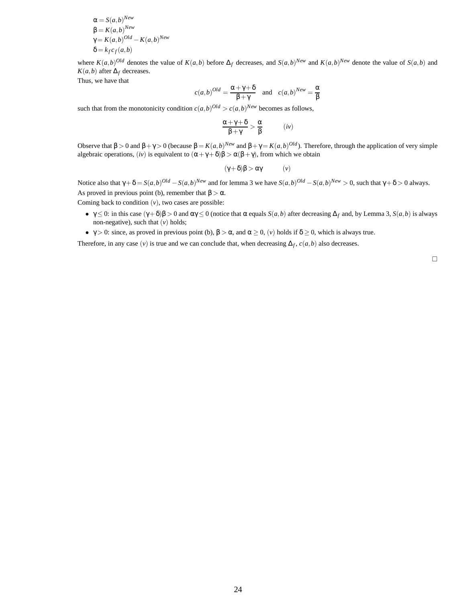$$
\alpha = S(a,b)^{New}
$$
  
\n
$$
\beta = K(a,b)^{New}
$$
  
\n
$$
\gamma = K(a,b)^{Old} - K(a,b)^{New}
$$
  
\n
$$
\delta = k_f c_f(a,b)
$$

where  $K(a,b)^{Old}$  denotes the value of  $K(a,b)$  before  $\Delta_f$  decreases, and  $S(a,b)^{New}$  and  $K(a,b)^{New}$  denote the value of  $S(a,b)$  and *K*(*a*,*b*) after  $\Delta_f$  decreases.

Thus, we have that

$$
c(a,b)^{Old} = \frac{\alpha + \gamma + \delta}{\beta + \gamma} \quad \text{and} \quad c(a,b)^{New} = \frac{\alpha}{\beta}
$$

such that from the monotonicity condition  $c(a,b)^{Old} > c(a,b)^{New}$  becomes as follows,

$$
\frac{\alpha + \gamma + \delta}{\beta + \gamma} > \frac{\alpha}{\beta} \qquad (iv)
$$

Observe that β > 0 and β + γ > 0 (because β =  $K(a,b)^{New}$  and β + γ =  $K(a,b)^{Old}$ ). Therefore, through the application of very simple algebraic operations, (*iv*) is equivalent to  $(\alpha + \gamma + \delta)\beta > \alpha(\beta + \gamma)$ , from which we obtain

$$
(\gamma + \delta)\beta > \alpha\gamma \qquad (\nu)
$$

Notice also that  $\gamma + \delta = S(a,b)^{Old} - S(a,b)^{New}$  and for lemma 3 we have  $S(a,b)^{Old} - S(a,b)^{New} > 0$ , such that  $\gamma + \delta > 0$  always. As proved in previous point (b), remember that  $\beta > \alpha$ .

Coming back to condition  $(v)$ , two cases are possible:

- $\gamma \leq 0$ : in this case  $(\gamma + \delta)\beta > 0$  and  $\alpha\gamma \leq 0$  (notice that α equals *S*(*a*,*b*) after decreasing  $\Delta_f$  and, by Lemma 3, *S*(*a*,*b*) is always non-negative), such that (*v*) holds;
- $\gamma > 0$ : since, as proved in previous point (b),  $\beta > \alpha$ , and  $\alpha \ge 0$ , (*v*) holds if  $\delta \ge 0$ , which is always true.

Therefore, in any case  $(v)$  is true and we can conclude that, when decreasing  $\Delta_f$ ,  $c(a, b)$  also decreases.

 $\Box$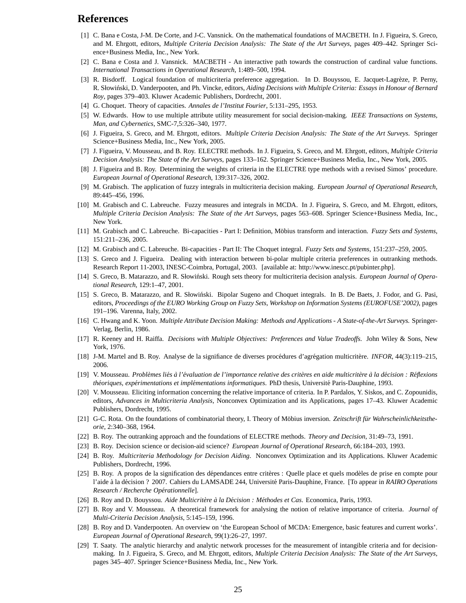# **References**

- [1] C. Bana e Costa, J-M. De Corte, and J-C. Vansnick. On the mathematical foundations of MACBETH. In J. Figueira, S. Greco, and M. Ehrgott, editors, *Multiple Criteria Decision Analysis: The State of the Art Surveys*, pages 409–442. Springer Science+Business Media, Inc., New York.
- [2] C. Bana e Costa and J. Vansnick. MACBETH An interactive path towards the construction of cardinal value functions. *International Transactions in Operational Research*, 1:489–500, 1994.
- [3] R. Bisdorff. Logical foundation of multicriteria preference aggregation. In D. Bouyssou, E. Jacquet-Lagrèze, P. Perny, R. Słowiński, D. Vanderpooten, and Ph. Vincke, editors, *Aiding Decisions with Multiple Criteria: Essays in Honour of Bernard Roy*, pages 379–403. Kluwer Academic Publishers, Dordrecht, 2001.
- [4] G. Choquet. Theory of capacities. *Annales de l'Institut Fourier*, 5:131–295, 1953.
- [5] W. Edwards. How to use multiple attribute utility measurement for social decision-making. *IEEE Transactions on Systems, Man, and Cybernetics*, SMC-7,5:326–340, 1977.
- [6] J. Figueira, S. Greco, and M. Ehrgott, editors. *Multiple Criteria Decision Analysis: The State of the Art Surveys*. Springer Science+Business Media, Inc., New York, 2005.
- [7] J. Figueira, V. Mousseau, and B. Roy. ELECTRE methods. In J. Figueira, S. Greco, and M. Ehrgott, editors, *Multiple Criteria Decision Analysis: The State of the Art Surveys*, pages 133–162. Springer Science+Business Media, Inc., New York, 2005.
- [8] J. Figueira and B. Roy. Determining the weights of criteria in the ELECTRE type methods with a revised Simos' procedure. *European Journal of Operational Research*, 139:317–326, 2002.
- [9] M. Grabisch. The application of fuzzy integrals in multicriteria decision making. *European Journal of Operational Research*, 89:445–456, 1996.
- [10] M. Grabisch and C. Labreuche. Fuzzy measures and integrals in MCDA. In J. Figueira, S. Greco, and M. Ehrgott, editors, *Multiple Criteria Decision Analysis: The State of the Art Surveys*, pages 563–608. Springer Science+Business Media, Inc., New York.
- [11] M. Grabisch and C. Labreuche. Bi-capacities Part I: Definition, Möbius transform and interaction. *Fuzzy Sets and Systems*, 151:211–236, 2005.
- [12] M. Grabisch and C. Labreuche. Bi-capacities Part II: The Choquet integral. *Fuzzy Sets and Systems*, 151:237–259, 2005.
- [13] S. Greco and J. Figueira. Dealing with interaction between bi-polar multiple criteria preferences in outranking methods. Research Report 11-2003, INESC-Coimbra, Portugal, 2003. [available at: http://www.inescc.pt/pubinter.php].
- [14] S. Greco, B. Matarazzo, and R. Słowiński. Rough sets theory for multicriteria decision analysis. *European Journal of Operational Research*, 129:1–47, 2001.
- [15] S. Greco, B. Matarazzo, and R. Słowiński. Bipolar Sugeno and Choquet integrals. In B. De Baets, J. Fodor, and G. Pasi, editors, *Proceedings of the EURO Working Group on Fuzzy Sets, Workshop on Information Systems (EUROFUSE'2002)*, pages 191–196. Varenna, Italy, 2002.
- [16] C. Hwang and K. Yoon. *Multiple Attribute Decision Making: Methods and Applications A State-of-the-Art Surveys.* Springer-Verlag, Berlin, 1986.
- [17] R. Keeney and H. Raiffa. *Decisions with Multiple Objectives: Preferences and Value Tradeoffs.* John Wiley & Sons, New York, 1976.
- [18] J-M. Martel and B. Roy. Analyse de la signifiance de diverses procédures d'agrégation multicritère. *INFOR*, 44(3):119–215, 2006.
- [19] V. Mousseau. *Problèmes liés à l'évaluation de l'importance relative des critères en aide multicritère à la décision : Réflexions th´eoriques, exp´erimentations et impl´ementations informatiques*. PhD thesis, Universit´e Paris-Dauphine, 1993.
- [20] V. Mousseau. Eliciting information concerning the relative importance of criteria. In P. Pardalos, Y. Siskos, and C. Zopounidis, editors, *Advances in Multicriteria Analysis*, Nonconvex Optimization and its Applications, pages 17–43. Kluwer Academic Publishers, Dordrecht, 1995.
- [21] G-C. Rota. On the foundations of combinatorial theory, I. Theory of Möbius inversion. *Zeitschrift für Wahrscheinlichkeitstheorie*, 2:340–368, 1964.
- [22] B. Roy. The outranking approach and the foundations of ELECTRE methods. *Theory and Decision*, 31:49–73, 1991.
- [23] B. Roy. Decision science or decision-aid science? *European Journal of Operational Research*, 66:184–203, 1993.
- [24] B. Roy. *Multicriteria Methodology for Decision Aiding*. Nonconvex Optimization and its Applications. Kluwer Academic Publishers, Dordrecht, 1996.
- [25] B. Roy. A propos de la signification des dépendances entre critères : Quelle place et quels modèles de prise en compte pour l'aide à la décision ? 2007. Cahiers du LAMSADE 244, Université Paris-Dauphine, France. [To appear in *RAIRO Operations Research / Recherche Op´erationnelle*].
- [26] B. Roy and D. Bouyssou. *Aide Multicritère à la Décision : Méthodes et Cas*. Economica, Paris, 1993.
- [27] B. Roy and V. Mousseau. A theoretical framework for analysing the notion of relative importance of criteria. *Journal of Multi-Criteria Decision Analysis*, 5:145–159, 1996.
- [28] B. Roy and D. Vanderpooten. An overview on 'the European School of MCDA: Emergence, basic features and current works'. *European Journal of Operational Research*, 99(1):26–27, 1997.
- [29] T. Saaty. The analytic hierarchy and analytic network processes for the measurement of intangible criteria and for decisionmaking. In J. Figueira, S. Greco, and M. Ehrgott, editors, *Multiple Criteria Decision Analysis: The State of the Art Surveys*, pages 345–407. Springer Science+Business Media, Inc., New York.